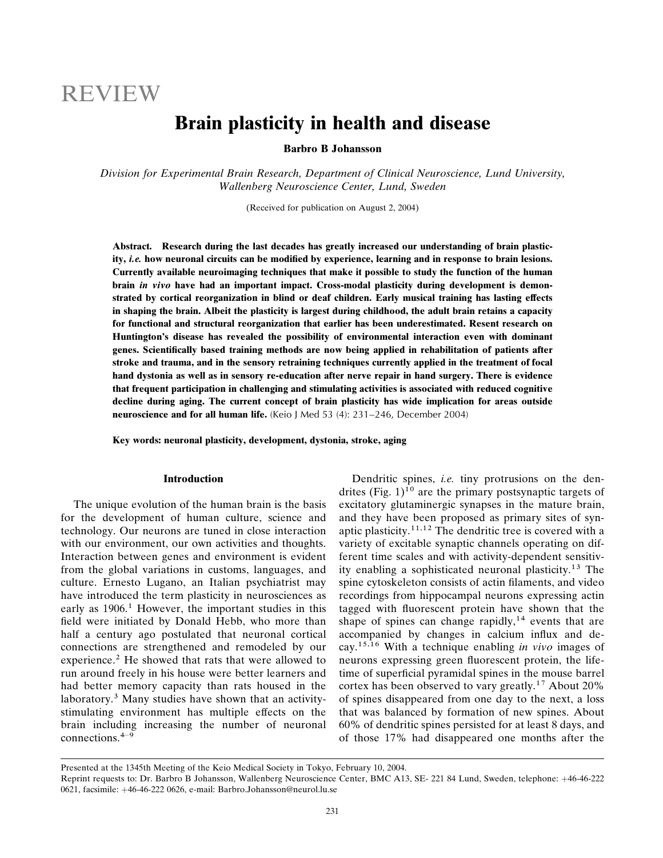# REVIEW

## Brain plasticity in health and disease

Barbro B Johansson

Division for Experimental Brain Research, Department of Clinical Neuroscience, Lund University, Wallenberg Neuroscience Center, Lund, Sweden

(Received for publication on August 2, 2004)

Abstract. Research during the last decades has greatly increased our understanding of brain plasticity, i.e. how neuronal circuits can be modified by experience, learning and in response to brain lesions. Currently available neuroimaging techniques that make it possible to study the function of the human brain in vivo have had an important impact. Cross-modal plasticity during development is demonstrated by cortical reorganization in blind or deaf children. Early musical training has lasting effects in shaping the brain. Albeit the plasticity is largest during childhood, the adult brain retains a capacity for functional and structural reorganization that earlier has been underestimated. Resent research on Huntington's disease has revealed the possibility of environmental interaction even with dominant genes. Scientifically based training methods are now being applied in rehabilitation of patients after stroke and trauma, and in the sensory retraining techniques currently applied in the treatment of focal hand dystonia as well as in sensory re-education after nerve repair in hand surgery. There is evidence that frequent participation in challenging and stimulating activities is associated with reduced cognitive decline during aging. The current concept of brain plasticity has wide implication for areas outside neuroscience and for all human life. (Keio J Med 53 (4): 231–246, December 2004)

Key words: neuronal plasticity, development, dystonia, stroke, aging

#### Introduction

The unique evolution of the human brain is the basis for the development of human culture, science and technology. Our neurons are tuned in close interaction with our environment, our own activities and thoughts. Interaction between genes and environment is evident from the global variations in customs, languages, and culture. Ernesto Lugano, an Italian psychiatrist may have introduced the term plasticity in neurosciences as early as  $1906<sup>1</sup>$  However, the important studies in this field were initiated by Donald Hebb, who more than half a century ago postulated that neuronal cortical connections are strengthened and remodeled by our experience.<sup>2</sup> He showed that rats that were allowed to run around freely in his house were better learners and had better memory capacity than rats housed in the laboratory.3 Many studies have shown that an activitystimulating environment has multiple effects on the brain including increasing the number of neuronal connections.4– 9

Dendritic spines, i.e. tiny protrusions on the dendrites (Fig.  $1$ )<sup>10</sup> are the primary postsynaptic targets of excitatory glutaminergic synapses in the mature brain, and they have been proposed as primary sites of synaptic plasticity.<sup>11,12</sup> The dendritic tree is covered with a variety of excitable synaptic channels operating on different time scales and with activity-dependent sensitivity enabling a sophisticated neuronal plasticity.<sup>13</sup> The spine cytoskeleton consists of actin filaments, and video recordings from hippocampal neurons expressing actin tagged with fluorescent protein have shown that the shape of spines can change rapidly,<sup>14</sup> events that are accompanied by changes in calcium influx and decay.<sup>15,16</sup> With a technique enabling in vivo images of neurons expressing green fluorescent protein, the lifetime of superficial pyramidal spines in the mouse barrel cortex has been observed to vary greatly.17 About 20% of spines disappeared from one day to the next, a loss that was balanced by formation of new spines. About 60% of dendritic spines persisted for at least 8 days, and of those 17% had disappeared one months after the

Presented at the 1345th Meeting of the Keio Medical Society in Tokyo, February 10, 2004.

Reprint requests to: Dr. Barbro B Johansson, Wallenberg Neuroscience Center, BMC A13, SE- 221 84 Lund, Sweden, telephone: +46-46-222 0621, facsimile: +46-46-222 0626, e-mail: Barbro.Johansson@neurol.lu.se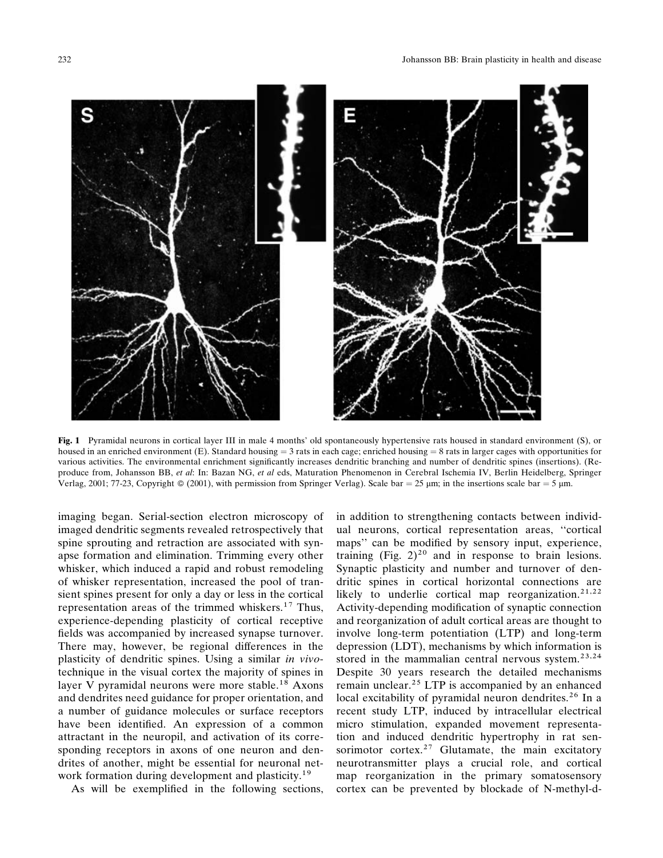

Fig. 1 Pyramidal neurons in cortical layer III in male 4 months' old spontaneously hypertensive rats housed in standard environment (S), or housed in an enriched environment (E). Standard housing = 3 rats in each cage; enriched housing = 8 rats in larger cages with opportunities for various activities. The environmental enrichment significantly increases dendritic branching and number of dendritic spines (insertions). (Reproduce from, Johansson BB, et al: In: Bazan NG, et al eds, Maturation Phenomenon in Cerebral Ischemia IV, Berlin Heidelberg, Springer Verlag, 2001; 77-23, Copyright  $\circledcirc$  (2001), with permission from Springer Verlag). Scale bar = 25 µm; in the insertions scale bar = 5 µm.

imaging began. Serial-section electron microscopy of imaged dendritic segments revealed retrospectively that spine sprouting and retraction are associated with synapse formation and elimination. Trimming every other whisker, which induced a rapid and robust remodeling of whisker representation, increased the pool of transient spines present for only a day or less in the cortical representation areas of the trimmed whiskers.<sup>17</sup> Thus, experience-depending plasticity of cortical receptive fields was accompanied by increased synapse turnover. There may, however, be regional differences in the plasticity of dendritic spines. Using a similar in vivotechnique in the visual cortex the majority of spines in layer V pyramidal neurons were more stable.<sup>18</sup> Axons and dendrites need guidance for proper orientation, and a number of guidance molecules or surface receptors have been identified. An expression of a common attractant in the neuropil, and activation of its corresponding receptors in axons of one neuron and dendrites of another, might be essential for neuronal network formation during development and plasticity.<sup>19</sup>

As will be exemplified in the following sections,

in addition to strengthening contacts between individual neurons, cortical representation areas, ''cortical maps'' can be modified by sensory input, experience, training  $(Fig. 2)^{20}$  and in response to brain lesions. Synaptic plasticity and number and turnover of dendritic spines in cortical horizontal connections are likely to underlie cortical map reorganization.<sup>21,22</sup> Activity-depending modification of synaptic connection and reorganization of adult cortical areas are thought to involve long-term potentiation (LTP) and long-term depression (LDT), mechanisms by which information is stored in the mammalian central nervous system. $23,24$ Despite 30 years research the detailed mechanisms remain unclear.25 LTP is accompanied by an enhanced local excitability of pyramidal neuron dendrites.<sup>26</sup> In a recent study LTP, induced by intracellular electrical micro stimulation, expanded movement representation and induced dendritic hypertrophy in rat sensorimotor cortex.<sup>27</sup> Glutamate, the main excitatory neurotransmitter plays a crucial role, and cortical map reorganization in the primary somatosensory cortex can be prevented by blockade of N-methyl-d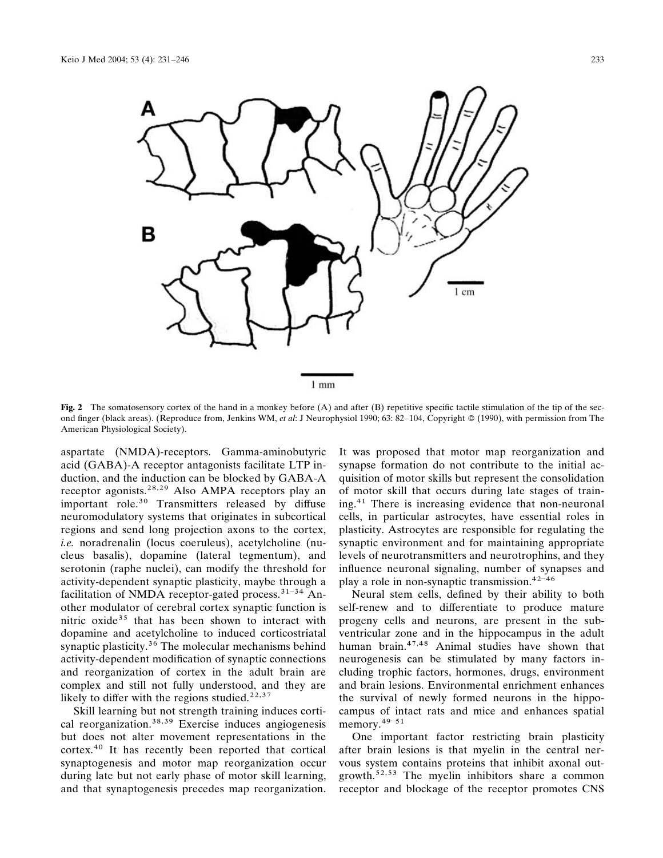American Physiological Society).



Fig. 2 The somatosensory cortex of the hand in a monkey before  $(A)$  and after  $(B)$  repetitive specific tactile stimulation of the tip of the second finger (black areas). (Reproduce from, Jenkins WM, et al: J Neurophysiol 1990; 63: 82-104, Copyright © (1990), with permission from The

aspartate (NMDA)-receptors. Gamma-aminobutyric acid (GABA)-A receptor antagonists facilitate LTP induction, and the induction can be blocked by GABA-A receptor agonists.28,29 Also AMPA receptors play an important role.30 Transmitters released by diffuse neuromodulatory systems that originates in subcortical regions and send long projection axons to the cortex, i.e. noradrenalin (locus coeruleus), acetylcholine (nucleus basalis), dopamine (lateral tegmentum), and serotonin (raphe nuclei), can modify the threshold for activity-dependent synaptic plasticity, maybe through a facilitation of NMDA receptor-gated process.<sup>31-34</sup> Another modulator of cerebral cortex synaptic function is nitric oxide<sup>35</sup> that has been shown to interact with dopamine and acetylcholine to induced corticostriatal synaptic plasticity.<sup>36</sup> The molecular mechanisms behind activity-dependent modification of synaptic connections and reorganization of cortex in the adult brain are complex and still not fully understood, and they are likely to differ with the regions studied.<sup>22,37</sup>

Skill learning but not strength training induces cortical reorganization.38,39 Exercise induces angiogenesis but does not alter movement representations in the cortex.40 It has recently been reported that cortical synaptogenesis and motor map reorganization occur during late but not early phase of motor skill learning, and that synaptogenesis precedes map reorganization. It was proposed that motor map reorganization and synapse formation do not contribute to the initial acquisition of motor skills but represent the consolidation of motor skill that occurs during late stages of training.41 There is increasing evidence that non-neuronal cells, in particular astrocytes, have essential roles in plasticity. Astrocytes are responsible for regulating the synaptic environment and for maintaining appropriate levels of neurotransmitters and neurotrophins, and they influence neuronal signaling, number of synapses and play a role in non-synaptic transmission.42– 46

Neural stem cells, defined by their ability to both self-renew and to differentiate to produce mature progeny cells and neurons, are present in the subventricular zone and in the hippocampus in the adult human brain.47,48 Animal studies have shown that neurogenesis can be stimulated by many factors including trophic factors, hormones, drugs, environment and brain lesions. Environmental enrichment enhances the survival of newly formed neurons in the hippocampus of intact rats and mice and enhances spatial memory.49– 51

One important factor restricting brain plasticity after brain lesions is that myelin in the central nervous system contains proteins that inhibit axonal outgrowth.52,53 The myelin inhibitors share a common receptor and blockage of the receptor promotes CNS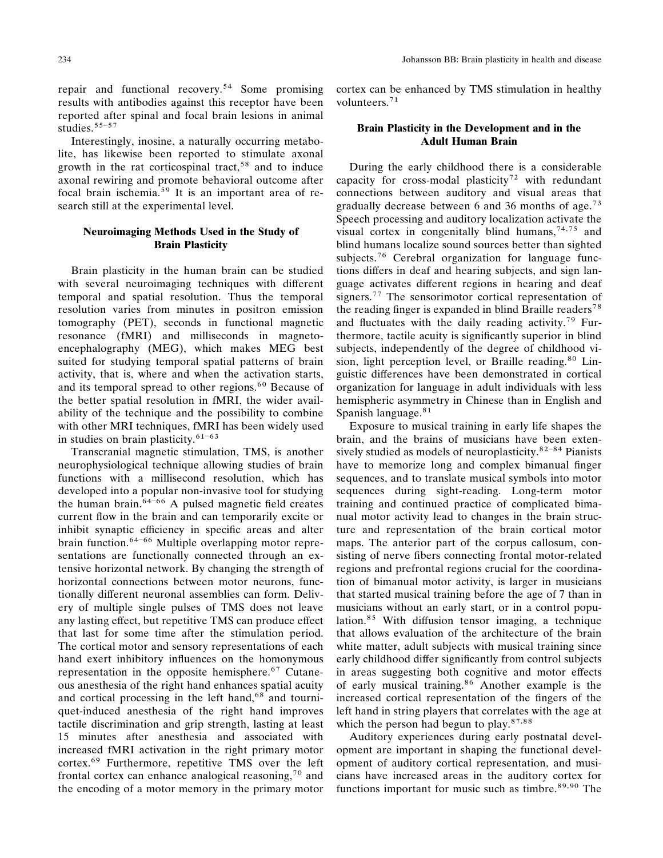repair and functional recovery.54 Some promising results with antibodies against this receptor have been reported after spinal and focal brain lesions in animal studies. $55-57$ 

Interestingly, inosine, a naturally occurring metabolite, has likewise been reported to stimulate axonal growth in the rat corticospinal tract,<sup>58</sup> and to induce axonal rewiring and promote behavioral outcome after focal brain ischemia.59 It is an important area of research still at the experimental level.

### Neuroimaging Methods Used in the Study of Brain Plasticity

Brain plasticity in the human brain can be studied with several neuroimaging techniques with different temporal and spatial resolution. Thus the temporal resolution varies from minutes in positron emission tomography (PET), seconds in functional magnetic resonance (fMRI) and milliseconds in magnetoencephalography (MEG), which makes MEG best suited for studying temporal spatial patterns of brain activity, that is, where and when the activation starts, and its temporal spread to other regions.<sup>60</sup> Because of the better spatial resolution in fMRI, the wider availability of the technique and the possibility to combine with other MRI techniques, fMRI has been widely used in studies on brain plasticity.<sup>61-63</sup>

Transcranial magnetic stimulation, TMS, is another neurophysiological technique allowing studies of brain functions with a millisecond resolution, which has developed into a popular non-invasive tool for studying the human brain.64– 66 A pulsed magnetic field creates current flow in the brain and can temporarily excite or inhibit synaptic efficiency in specific areas and alter brain function.<sup>64-66</sup> Multiple overlapping motor representations are functionally connected through an extensive horizontal network. By changing the strength of horizontal connections between motor neurons, functionally different neuronal assemblies can form. Delivery of multiple single pulses of TMS does not leave any lasting effect, but repetitive TMS can produce effect that last for some time after the stimulation period. The cortical motor and sensory representations of each hand exert inhibitory influences on the homonymous representation in the opposite hemisphere.<sup>67</sup> Cutaneous anesthesia of the right hand enhances spatial acuity and cortical processing in the left hand,<sup>68</sup> and tourniquet-induced anesthesia of the right hand improves tactile discrimination and grip strength, lasting at least 15 minutes after anesthesia and associated with increased fMRI activation in the right primary motor cortex.69 Furthermore, repetitive TMS over the left frontal cortex can enhance analogical reasoning,  $70$  and the encoding of a motor memory in the primary motor

cortex can be enhanced by TMS stimulation in healthy volunteers.<sup>71</sup>

#### Brain Plasticity in the Development and in the Adult Human Brain

During the early childhood there is a considerable capacity for cross-modal plasticity<sup>72</sup> with redundant connections between auditory and visual areas that gradually decrease between 6 and 36 months of age.<sup>73</sup> Speech processing and auditory localization activate the visual cortex in congenitally blind humans,  $74,75$  and blind humans localize sound sources better than sighted subjects.<sup>76</sup> Cerebral organization for language functions differs in deaf and hearing subjects, and sign language activates different regions in hearing and deaf signers.<sup>77</sup> The sensorimotor cortical representation of the reading finger is expanded in blind Braille readers<sup>78</sup> and fluctuates with the daily reading activity.<sup>79</sup> Furthermore, tactile acuity is significantly superior in blind subjects, independently of the degree of childhood vision, light perception level, or Braille reading.<sup>80</sup> Linguistic differences have been demonstrated in cortical organization for language in adult individuals with less hemispheric asymmetry in Chinese than in English and Spanish language.<sup>81</sup>

Exposure to musical training in early life shapes the brain, and the brains of musicians have been extensively studied as models of neuroplasticity.<sup>82-84</sup> Pianists have to memorize long and complex bimanual finger sequences, and to translate musical symbols into motor sequences during sight-reading. Long-term motor training and continued practice of complicated bimanual motor activity lead to changes in the brain structure and representation of the brain cortical motor maps. The anterior part of the corpus callosum, consisting of nerve fibers connecting frontal motor-related regions and prefrontal regions crucial for the coordination of bimanual motor activity, is larger in musicians that started musical training before the age of 7 than in musicians without an early start, or in a control population.85 With diffusion tensor imaging, a technique that allows evaluation of the architecture of the brain white matter, adult subjects with musical training since early childhood differ significantly from control subjects in areas suggesting both cognitive and motor effects of early musical training.86 Another example is the increased cortical representation of the fingers of the left hand in string players that correlates with the age at which the person had begun to play. $87,88$ 

Auditory experiences during early postnatal development are important in shaping the functional development of auditory cortical representation, and musicians have increased areas in the auditory cortex for functions important for music such as timbre. $89,90$  The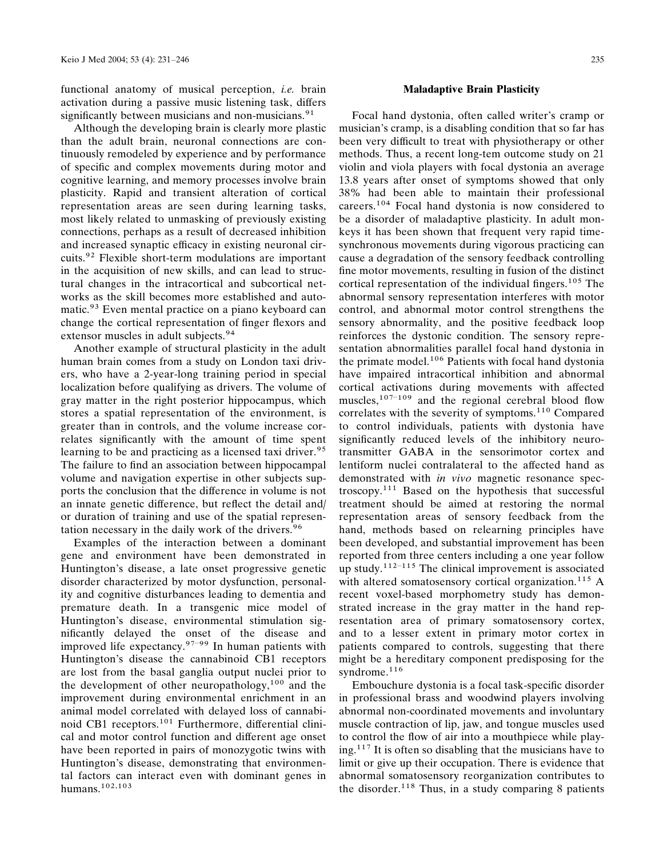functional anatomy of musical perception, i.e. brain activation during a passive music listening task, differs significantly between musicians and non-musicians.<sup>91</sup>

Although the developing brain is clearly more plastic than the adult brain, neuronal connections are continuously remodeled by experience and by performance of specific and complex movements during motor and cognitive learning, and memory processes involve brain plasticity. Rapid and transient alteration of cortical representation areas are seen during learning tasks, most likely related to unmasking of previously existing connections, perhaps as a result of decreased inhibition and increased synaptic efficacy in existing neuronal circuits.92 Flexible short-term modulations are important in the acquisition of new skills, and can lead to structural changes in the intracortical and subcortical networks as the skill becomes more established and automatic.93 Even mental practice on a piano keyboard can change the cortical representation of finger flexors and extensor muscles in adult subjects.<sup>94</sup>

Another example of structural plasticity in the adult human brain comes from a study on London taxi drivers, who have a 2-year-long training period in special localization before qualifying as drivers. The volume of gray matter in the right posterior hippocampus, which stores a spatial representation of the environment, is greater than in controls, and the volume increase correlates significantly with the amount of time spent learning to be and practicing as a licensed taxi driver.<sup>95</sup> The failure to find an association between hippocampal volume and navigation expertise in other subjects supports the conclusion that the difference in volume is not an innate genetic difference, but reflect the detail and/ or duration of training and use of the spatial representation necessary in the daily work of the drivers.<sup>96</sup>

Examples of the interaction between a dominant gene and environment have been demonstrated in Huntington's disease, a late onset progressive genetic disorder characterized by motor dysfunction, personality and cognitive disturbances leading to dementia and premature death. In a transgenic mice model of Huntington's disease, environmental stimulation significantly delayed the onset of the disease and improved life expectancy.<sup>97-99</sup> In human patients with Huntington's disease the cannabinoid CB1 receptors are lost from the basal ganglia output nuclei prior to the development of other neuropathology, $100$  and the improvement during environmental enrichment in an animal model correlated with delayed loss of cannabinoid CB1 receptors.101 Furthermore, differential clinical and motor control function and different age onset have been reported in pairs of monozygotic twins with Huntington's disease, demonstrating that environmental factors can interact even with dominant genes in humans.102,103

#### Maladaptive Brain Plasticity

Focal hand dystonia, often called writer's cramp or musician's cramp, is a disabling condition that so far has been very difficult to treat with physiotherapy or other methods. Thus, a recent long-tem outcome study on 21 violin and viola players with focal dystonia an average 13.8 years after onset of symptoms showed that only 38% had been able to maintain their professional careers.104 Focal hand dystonia is now considered to be a disorder of maladaptive plasticity. In adult monkeys it has been shown that frequent very rapid timesynchronous movements during vigorous practicing can cause a degradation of the sensory feedback controlling fine motor movements, resulting in fusion of the distinct cortical representation of the individual fingers.105 The abnormal sensory representation interferes with motor control, and abnormal motor control strengthens the sensory abnormality, and the positive feedback loop reinforces the dystonic condition. The sensory representation abnormalities parallel focal hand dystonia in the primate model.106 Patients with focal hand dystonia have impaired intracortical inhibition and abnormal cortical activations during movements with affected muscles,<sup>107-109</sup> and the regional cerebral blood flow correlates with the severity of symptoms.110 Compared to control individuals, patients with dystonia have significantly reduced levels of the inhibitory neurotransmitter GABA in the sensorimotor cortex and lentiform nuclei contralateral to the affected hand as demonstrated with in vivo magnetic resonance spectroscopy.111 Based on the hypothesis that successful treatment should be aimed at restoring the normal representation areas of sensory feedback from the hand, methods based on relearning principles have been developed, and substantial improvement has been reported from three centers including a one year follow up study.112– 115 The clinical improvement is associated with altered somatosensory cortical organization.<sup>115</sup> A recent voxel-based morphometry study has demonstrated increase in the gray matter in the hand representation area of primary somatosensory cortex, and to a lesser extent in primary motor cortex in patients compared to controls, suggesting that there might be a hereditary component predisposing for the syndrome.<sup>116</sup>

Embouchure dystonia is a focal task-specific disorder in professional brass and woodwind players involving abnormal non-coordinated movements and involuntary muscle contraction of lip, jaw, and tongue muscles used to control the flow of air into a mouthpiece while playing.117 It is often so disabling that the musicians have to limit or give up their occupation. There is evidence that abnormal somatosensory reorganization contributes to the disorder.<sup>118</sup> Thus, in a study comparing 8 patients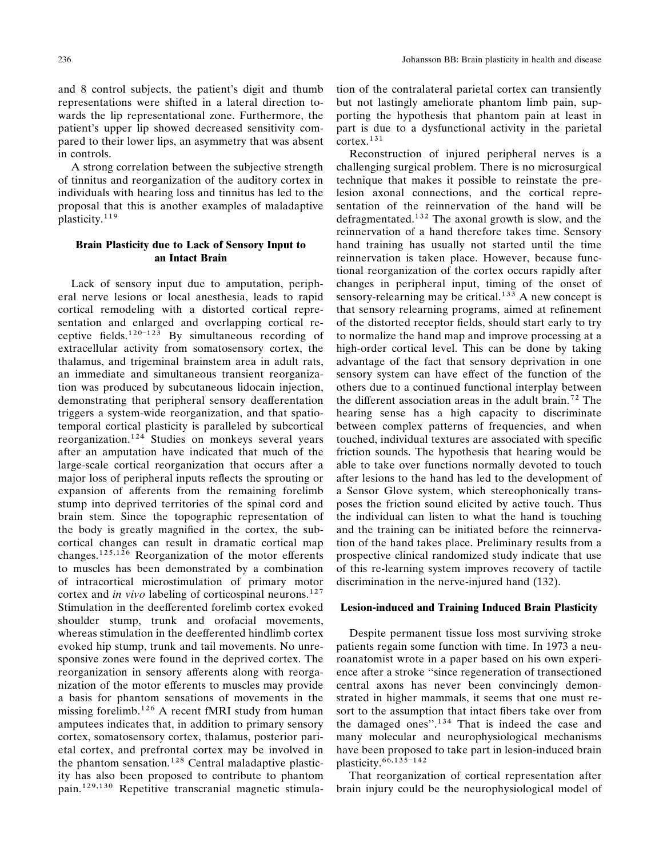and 8 control subjects, the patient's digit and thumb representations were shifted in a lateral direction towards the lip representational zone. Furthermore, the patient's upper lip showed decreased sensitivity compared to their lower lips, an asymmetry that was absent in controls.

A strong correlation between the subjective strength of tinnitus and reorganization of the auditory cortex in individuals with hearing loss and tinnitus has led to the proposal that this is another examples of maladaptive plasticity.119

#### Brain Plasticity due to Lack of Sensory Input to an Intact Brain

Lack of sensory input due to amputation, peripheral nerve lesions or local anesthesia, leads to rapid cortical remodeling with a distorted cortical representation and enlarged and overlapping cortical receptive fields.<sup>120-123</sup> By simultaneous recording of extracellular activity from somatosensory cortex, the thalamus, and trigeminal brainstem area in adult rats, an immediate and simultaneous transient reorganization was produced by subcutaneous lidocain injection, demonstrating that peripheral sensory deafferentation triggers a system-wide reorganization, and that spatiotemporal cortical plasticity is paralleled by subcortical reorganization.124 Studies on monkeys several years after an amputation have indicated that much of the large-scale cortical reorganization that occurs after a major loss of peripheral inputs reflects the sprouting or expansion of afferents from the remaining forelimb stump into deprived territories of the spinal cord and brain stem. Since the topographic representation of the body is greatly magnified in the cortex, the subcortical changes can result in dramatic cortical map changes.<sup>125,126</sup> Reorganization of the motor efferents to muscles has been demonstrated by a combination of intracortical microstimulation of primary motor cortex and *in vivo* labeling of corticospinal neurons.<sup>127</sup> Stimulation in the deefferented forelimb cortex evoked shoulder stump, trunk and orofacial movements, whereas stimulation in the deefferented hindlimb cortex evoked hip stump, trunk and tail movements. No unresponsive zones were found in the deprived cortex. The reorganization in sensory afferents along with reorganization of the motor efferents to muscles may provide a basis for phantom sensations of movements in the missing forelimb.<sup>126</sup> A recent fMRI study from human amputees indicates that, in addition to primary sensory cortex, somatosensory cortex, thalamus, posterior parietal cortex, and prefrontal cortex may be involved in the phantom sensation.<sup>128</sup> Central maladaptive plasticity has also been proposed to contribute to phantom pain.129,130 Repetitive transcranial magnetic stimulation of the contralateral parietal cortex can transiently but not lastingly ameliorate phantom limb pain, supporting the hypothesis that phantom pain at least in part is due to a dysfunctional activity in the parietal cortex.131

Reconstruction of injured peripheral nerves is a challenging surgical problem. There is no microsurgical technique that makes it possible to reinstate the prelesion axonal connections, and the cortical representation of the reinnervation of the hand will be defragmentated.132 The axonal growth is slow, and the reinnervation of a hand therefore takes time. Sensory hand training has usually not started until the time reinnervation is taken place. However, because functional reorganization of the cortex occurs rapidly after changes in peripheral input, timing of the onset of sensory-relearning may be critical.<sup>133</sup> A new concept is that sensory relearning programs, aimed at refinement of the distorted receptor fields, should start early to try to normalize the hand map and improve processing at a high-order cortical level. This can be done by taking advantage of the fact that sensory deprivation in one sensory system can have effect of the function of the others due to a continued functional interplay between the different association areas in the adult brain.72 The hearing sense has a high capacity to discriminate between complex patterns of frequencies, and when touched, individual textures are associated with specific friction sounds. The hypothesis that hearing would be able to take over functions normally devoted to touch after lesions to the hand has led to the development of a Sensor Glove system, which stereophonically transposes the friction sound elicited by active touch. Thus the individual can listen to what the hand is touching and the training can be initiated before the reinnervation of the hand takes place. Preliminary results from a prospective clinical randomized study indicate that use of this re-learning system improves recovery of tactile discrimination in the nerve-injured hand (132).

#### Lesion-induced and Training Induced Brain Plasticity

Despite permanent tissue loss most surviving stroke patients regain some function with time. In 1973 a neuroanatomist wrote in a paper based on his own experience after a stroke ''since regeneration of transectioned central axons has never been convincingly demonstrated in higher mammals, it seems that one must resort to the assumption that intact fibers take over from the damaged ones''.134 That is indeed the case and many molecular and neurophysiological mechanisms have been proposed to take part in lesion-induced brain plasticity.66,135– 142

That reorganization of cortical representation after brain injury could be the neurophysiological model of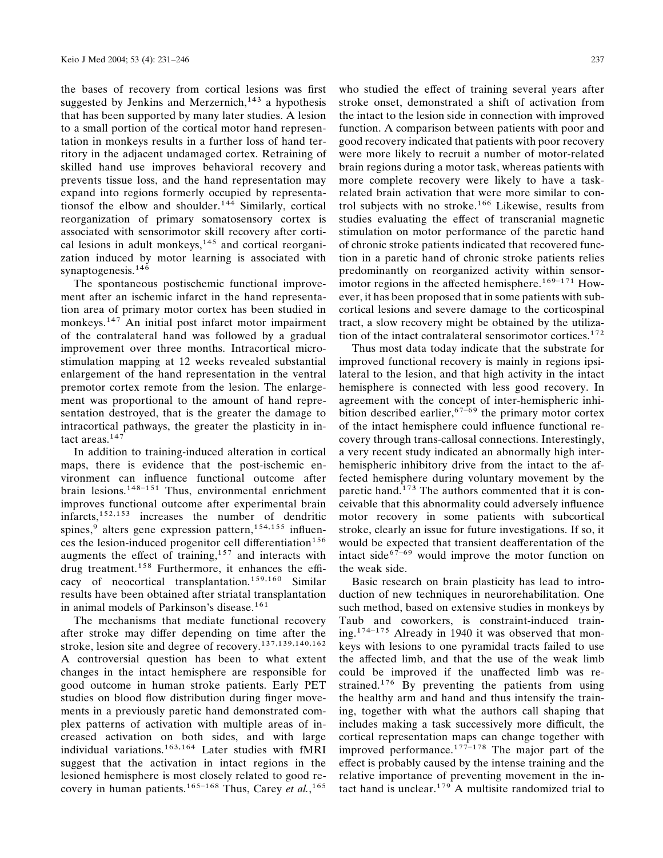the bases of recovery from cortical lesions was first suggested by Jenkins and Merzernich, $143$  a hypothesis that has been supported by many later studies. A lesion to a small portion of the cortical motor hand representation in monkeys results in a further loss of hand territory in the adjacent undamaged cortex. Retraining of skilled hand use improves behavioral recovery and prevents tissue loss, and the hand representation may expand into regions formerly occupied by representationsof the elbow and shoulder.<sup>144</sup> Similarly, cortical reorganization of primary somatosensory cortex is associated with sensorimotor skill recovery after cortical lesions in adult monkeys, $145$  and cortical reorganization induced by motor learning is associated with synaptogenesis.<sup>146</sup>

The spontaneous postischemic functional improvement after an ischemic infarct in the hand representation area of primary motor cortex has been studied in monkeys.147 An initial post infarct motor impairment of the contralateral hand was followed by a gradual improvement over three months. Intracortical microstimulation mapping at 12 weeks revealed substantial enlargement of the hand representation in the ventral premotor cortex remote from the lesion. The enlargement was proportional to the amount of hand representation destroyed, that is the greater the damage to intracortical pathways, the greater the plasticity in intact areas.147

In addition to training-induced alteration in cortical maps, there is evidence that the post-ischemic environment can influence functional outcome after brain lesions.<sup>148-151</sup> Thus, environmental enrichment improves functional outcome after experimental brain infarcts,152,153 increases the number of dendritic spines,<sup>9</sup> alters gene expression pattern,<sup>154,155</sup> influences the lesion-induced progenitor cell differentiation<sup>156</sup> augments the effect of training, $157$  and interacts with drug treatment.158 Furthermore, it enhances the efficacy of neocortical transplantation.159,160 Similar results have been obtained after striatal transplantation in animal models of Parkinson's disease.<sup>161</sup>

The mechanisms that mediate functional recovery after stroke may differ depending on time after the stroke, lesion site and degree of recovery.137,139,140,162 A controversial question has been to what extent changes in the intact hemisphere are responsible for good outcome in human stroke patients. Early PET studies on blood flow distribution during finger movements in a previously paretic hand demonstrated complex patterns of activation with multiple areas of increased activation on both sides, and with large individual variations.163,164 Later studies with fMRI suggest that the activation in intact regions in the lesioned hemisphere is most closely related to good recovery in human patients.<sup>165-168</sup> Thus, Carey et al.,<sup>165</sup>

who studied the effect of training several years after stroke onset, demonstrated a shift of activation from the intact to the lesion side in connection with improved function. A comparison between patients with poor and good recovery indicated that patients with poor recovery were more likely to recruit a number of motor-related brain regions during a motor task, whereas patients with more complete recovery were likely to have a taskrelated brain activation that were more similar to control subjects with no stroke.166 Likewise, results from studies evaluating the effect of transcranial magnetic stimulation on motor performance of the paretic hand of chronic stroke patients indicated that recovered function in a paretic hand of chronic stroke patients relies predominantly on reorganized activity within sensorimotor regions in the affected hemisphere.<sup>169-171</sup> However, it has been proposed that in some patients with subcortical lesions and severe damage to the corticospinal tract, a slow recovery might be obtained by the utilization of the intact contralateral sensorimotor cortices.<sup>172</sup>

Thus most data today indicate that the substrate for improved functional recovery is mainly in regions ipsilateral to the lesion, and that high activity in the intact hemisphere is connected with less good recovery. In agreement with the concept of inter-hemispheric inhibition described earlier,  $67-69$  the primary motor cortex of the intact hemisphere could influence functional recovery through trans-callosal connections. Interestingly, a very recent study indicated an abnormally high interhemispheric inhibitory drive from the intact to the affected hemisphere during voluntary movement by the paretic hand.<sup>173</sup> The authors commented that it is conceivable that this abnormality could adversely influence motor recovery in some patients with subcortical stroke, clearly an issue for future investigations. If so, it would be expected that transient deafferentation of the intact side<sup>67–69</sup> would improve the motor function on the weak side.

Basic research on brain plasticity has lead to introduction of new techniques in neurorehabilitation. One such method, based on extensive studies in monkeys by Taub and coworkers, is constraint-induced training.174– 175 Already in 1940 it was observed that monkeys with lesions to one pyramidal tracts failed to use the affected limb, and that the use of the weak limb could be improved if the unaffected limb was restrained.<sup>176</sup> By preventing the patients from using the healthy arm and hand and thus intensify the training, together with what the authors call shaping that includes making a task successively more difficult, the cortical representation maps can change together with improved performance.<sup>177-178</sup> The major part of the effect is probably caused by the intense training and the relative importance of preventing movement in the intact hand is unclear.<sup>179</sup> A multisite randomized trial to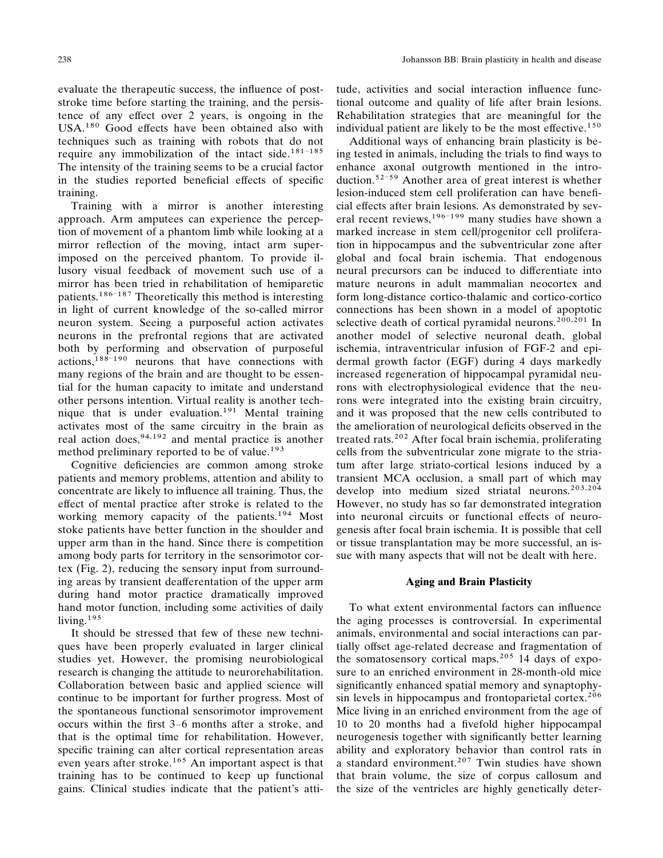evaluate the therapeutic success, the influence of poststroke time before starting the training, and the persistence of any effect over 2 years, is ongoing in the USA.180 Good effects have been obtained also with techniques such as training with robots that do not require any immobilization of the intact side.<sup>181-185</sup> The intensity of the training seems to be a crucial factor in the studies reported beneficial effects of specific training.

Training with a mirror is another interesting approach. Arm amputees can experience the perception of movement of a phantom limb while looking at a mirror reflection of the moving, intact arm superimposed on the perceived phantom. To provide illusory visual feedback of movement such use of a mirror has been tried in rehabilitation of hemiparetic patients.<sup>186-187</sup> Theoretically this method is interesting in light of current knowledge of the so-called mirror neuron system. Seeing a purposeful action activates neurons in the prefrontal regions that are activated both by performing and observation of purposeful  $\arctan x$ ,  $188-190$  neurons that have connections with many regions of the brain and are thought to be essential for the human capacity to imitate and understand other persons intention. Virtual reality is another technique that is under evaluation.191 Mental training activates most of the same circuitry in the brain as real action does,  $94,192$  and mental practice is another method preliminary reported to be of value.<sup>193</sup>

Cognitive deficiencies are common among stroke patients and memory problems, attention and ability to concentrate are likely to influence all training. Thus, the effect of mental practice after stroke is related to the working memory capacity of the patients.194 Most stoke patients have better function in the shoulder and upper arm than in the hand. Since there is competition among body parts for territory in the sensorimotor cortex (Fig. 2), reducing the sensory input from surrounding areas by transient deafferentation of the upper arm during hand motor practice dramatically improved hand motor function, including some activities of daily living.<sup>195</sup>

It should be stressed that few of these new techniques have been properly evaluated in larger clinical studies yet. However, the promising neurobiological research is changing the attitude to neurorehabilitation. Collaboration between basic and applied science will continue to be important for further progress. Most of the spontaneous functional sensorimotor improvement occurs within the first 3–6 months after a stroke, and that is the optimal time for rehabilitation. However, specific training can alter cortical representation areas even years after stroke.<sup>165</sup> An important aspect is that training has to be continued to keep up functional gains. Clinical studies indicate that the patient's attitude, activities and social interaction influence functional outcome and quality of life after brain lesions. Rehabilitation strategies that are meaningful for the individual patient are likely to be the most effective.<sup>150</sup>

Additional ways of enhancing brain plasticity is being tested in animals, including the trials to find ways to enhance axonal outgrowth mentioned in the introduction.52– 59 Another area of great interest is whether lesion-induced stem cell proliferation can have beneficial effects after brain lesions. As demonstrated by several recent reviews,<sup>196-199</sup> many studies have shown a marked increase in stem cell/progenitor cell proliferation in hippocampus and the subventricular zone after global and focal brain ischemia. That endogenous neural precursors can be induced to differentiate into mature neurons in adult mammalian neocortex and form long-distance cortico-thalamic and cortico-cortico connections has been shown in a model of apoptotic selective death of cortical pyramidal neurons.<sup>200,201</sup> In another model of selective neuronal death, global ischemia, intraventricular infusion of FGF-2 and epidermal growth factor (EGF) during 4 days markedly increased regeneration of hippocampal pyramidal neurons with electrophysiological evidence that the neurons were integrated into the existing brain circuitry, and it was proposed that the new cells contributed to the amelioration of neurological deficits observed in the treated rats.202 After focal brain ischemia, proliferating cells from the subventricular zone migrate to the striatum after large striato-cortical lesions induced by a transient MCA occlusion, a small part of which may develop into medium sized striatal neurons.203,204 However, no study has so far demonstrated integration into neuronal circuits or functional effects of neurogenesis after focal brain ischemia. It is possible that cell or tissue transplantation may be more successful, an issue with many aspects that will not be dealt with here.

#### Aging and Brain Plasticity

To what extent environmental factors can influence the aging processes is controversial. In experimental animals, environmental and social interactions can partially offset age-related decrease and fragmentation of the somatosensory cortical maps.<sup>205</sup> 14 days of exposure to an enriched environment in 28-month-old mice significantly enhanced spatial memory and synaptophysin levels in hippocampus and frontoparietal cortex.<sup>206</sup> Mice living in an enriched environment from the age of 10 to 20 months had a fivefold higher hippocampal neurogenesis together with significantly better learning ability and exploratory behavior than control rats in a standard environment.207 Twin studies have shown that brain volume, the size of corpus callosum and the size of the ventricles are highly genetically deter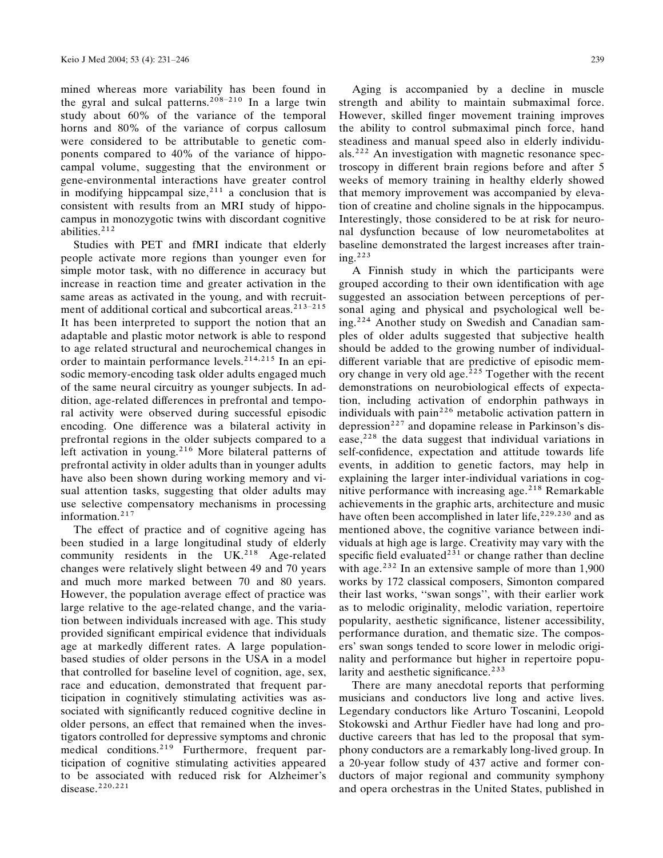mined whereas more variability has been found in the gyral and sulcal patterns.<sup>208-210</sup> In a large twin study about 60% of the variance of the temporal horns and 80% of the variance of corpus callosum were considered to be attributable to genetic components compared to 40% of the variance of hippocampal volume, suggesting that the environment or gene-environmental interactions have greater control in modifying hippcampal size, $2^{11}$  a conclusion that is consistent with results from an MRI study of hippocampus in monozygotic twins with discordant cognitive abilities.212

Studies with PET and fMRI indicate that elderly people activate more regions than younger even for simple motor task, with no difference in accuracy but increase in reaction time and greater activation in the same areas as activated in the young, and with recruitment of additional cortical and subcortical areas.<sup>213-215</sup> It has been interpreted to support the notion that an adaptable and plastic motor network is able to respond to age related structural and neurochemical changes in order to maintain performance levels.<sup>214,215</sup> In an episodic memory-encoding task older adults engaged much of the same neural circuitry as younger subjects. In addition, age-related differences in prefrontal and temporal activity were observed during successful episodic encoding. One difference was a bilateral activity in prefrontal regions in the older subjects compared to a left activation in young.216 More bilateral patterns of prefrontal activity in older adults than in younger adults have also been shown during working memory and visual attention tasks, suggesting that older adults may use selective compensatory mechanisms in processing information.<sup>217</sup>

The effect of practice and of cognitive ageing has been studied in a large longitudinal study of elderly community residents in the UK.<sup>218</sup> Age-related changes were relatively slight between 49 and 70 years and much more marked between 70 and 80 years. However, the population average effect of practice was large relative to the age-related change, and the variation between individuals increased with age. This study provided significant empirical evidence that individuals age at markedly different rates. A large populationbased studies of older persons in the USA in a model that controlled for baseline level of cognition, age, sex, race and education, demonstrated that frequent participation in cognitively stimulating activities was associated with significantly reduced cognitive decline in older persons, an effect that remained when the investigators controlled for depressive symptoms and chronic medical conditions.<sup>219</sup> Furthermore, frequent participation of cognitive stimulating activities appeared to be associated with reduced risk for Alzheimer's disease.220,221

Aging is accompanied by a decline in muscle strength and ability to maintain submaximal force. However, skilled finger movement training improves the ability to control submaximal pinch force, hand steadiness and manual speed also in elderly individuals.222 An investigation with magnetic resonance spectroscopy in different brain regions before and after 5 weeks of memory training in healthy elderly showed that memory improvement was accompanied by elevation of creatine and choline signals in the hippocampus. Interestingly, those considered to be at risk for neuronal dysfunction because of low neurometabolites at baseline demonstrated the largest increases after training. $^{223}$ 

A Finnish study in which the participants were grouped according to their own identification with age suggested an association between perceptions of personal aging and physical and psychological well being.224 Another study on Swedish and Canadian samples of older adults suggested that subjective health should be added to the growing number of individualdifferent variable that are predictive of episodic memory change in very old age.<sup>225</sup> Together with the recent demonstrations on neurobiological effects of expectation, including activation of endorphin pathways in individuals with pain<sup>226</sup> metabolic activation pattern in depression<sup>227</sup> and dopamine release in Parkinson's disease, $228$  the data suggest that individual variations in self-confidence, expectation and attitude towards life events, in addition to genetic factors, may help in explaining the larger inter-individual variations in cognitive performance with increasing age. $218$  Remarkable achievements in the graphic arts, architecture and music have often been accomplished in later life,<sup>229,230</sup> and as mentioned above, the cognitive variance between individuals at high age is large. Creativity may vary with the specific field evaluated<sup>231</sup> or change rather than decline with age.<sup>232</sup> In an extensive sample of more than  $1,900$ works by 172 classical composers, Simonton compared their last works, ''swan songs'', with their earlier work as to melodic originality, melodic variation, repertoire popularity, aesthetic significance, listener accessibility, performance duration, and thematic size. The composers' swan songs tended to score lower in melodic originality and performance but higher in repertoire popularity and aesthetic significance. $233$ 

There are many anecdotal reports that performing musicians and conductors live long and active lives. Legendary conductors like Arturo Toscanini, Leopold Stokowski and Arthur Fiedler have had long and productive careers that has led to the proposal that symphony conductors are a remarkably long-lived group. In a 20-year follow study of 437 active and former conductors of major regional and community symphony and opera orchestras in the United States, published in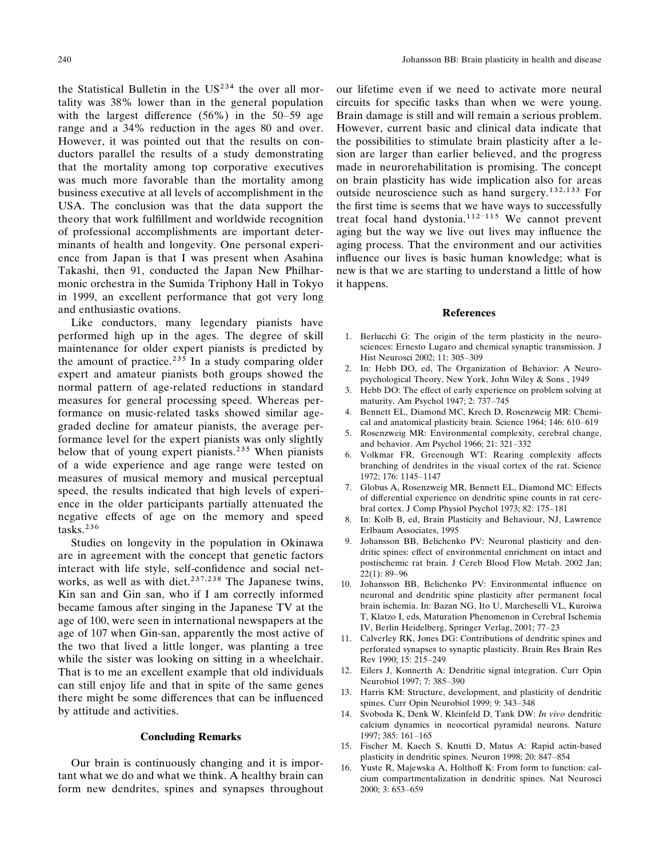the Statistical Bulletin in the  $US^{234}$  the over all mortality was 38% lower than in the general population with the largest difference (56%) in the 50–59 age range and a 34% reduction in the ages 80 and over. However, it was pointed out that the results on conductors parallel the results of a study demonstrating that the mortality among top corporative executives was much more favorable than the mortality among business executive at all levels of accomplishment in the USA. The conclusion was that the data support the theory that work fulfillment and worldwide recognition of professional accomplishments are important determinants of health and longevity. One personal experience from Japan is that I was present when Asahina Takashi, then 91, conducted the Japan New Philharmonic orchestra in the Sumida Triphony Hall in Tokyo in 1999, an excellent performance that got very long and enthusiastic ovations.

Like conductors, many legendary pianists have performed high up in the ages. The degree of skill maintenance for older expert pianists is predicted by the amount of practice.<sup>235</sup> In a study comparing older expert and amateur pianists both groups showed the normal pattern of age-related reductions in standard measures for general processing speed. Whereas performance on music-related tasks showed similar agegraded decline for amateur pianists, the average performance level for the expert pianists was only slightly below that of young expert pianists.<sup>235</sup> When pianists of a wide experience and age range were tested on measures of musical memory and musical perceptual speed, the results indicated that high levels of experience in the older participants partially attenuated the negative effects of age on the memory and speed tasks.236

Studies on longevity in the population in Okinawa are in agreement with the concept that genetic factors interact with life style, self-confidence and social networks, as well as with diet.<sup>237,238</sup> The Japanese twins, Kin san and Gin san, who if I am correctly informed became famous after singing in the Japanese TV at the age of 100, were seen in international newspapers at the age of 107 when Gin-san, apparently the most active of the two that lived a little longer, was planting a tree while the sister was looking on sitting in a wheelchair. That is to me an excellent example that old individuals can still enjoy life and that in spite of the same genes there might be some differences that can be influenced by attitude and activities.

#### Concluding Remarks

Our brain is continuously changing and it is important what we do and what we think. A healthy brain can form new dendrites, spines and synapses throughout

our lifetime even if we need to activate more neural circuits for specific tasks than when we were young. Brain damage is still and will remain a serious problem. However, current basic and clinical data indicate that the possibilities to stimulate brain plasticity after a lesion are larger than earlier believed, and the progress made in neurorehabilitation is promising. The concept on brain plasticity has wide implication also for areas outside neuroscience such as hand surgery.132,133 For the first time is seems that we have ways to successfully treat focal hand dystonia.<sup>112-115</sup> We cannot prevent aging but the way we live out lives may influence the aging process. That the environment and our activities influence our lives is basic human knowledge; what is new is that we are starting to understand a little of how it happens.

#### References

- 1. Berlucchi G: The origin of the term plasticity in the neurosciences: Ernesto Lugaro and chemical synaptic transmission. J Hist Neurosci 2002; 11: 305–309
- 2. In: Hebb DO, ed, The Organization of Behavior: A Neuropsychological Theory, New York, John Wiley & Sons , 1949
- 3. Hebb DO: The effect of early experience on problem solving at maturity. Am Psychol 1947; 2: 737–745
- 4. Bennett EL, Diamond MC, Krech D, Rosenzweig MR: Chemical and anatomical plasticity brain. Science 1964; 146: 610–619
- 5. Rosenzweig MR: Environmental complexity, cerebral change, and behavior. Am Psychol 1966; 21: 321–332
- 6. Volkmar FR, Greenough WT: Rearing complexity affects branching of dendrites in the visual cortex of the rat. Science 1972; 176: 1145–1147
- 7. Globus A, Rosenzweig MR, Bennett EL, Diamond MC: Effects of differential experience on dendritic spine counts in rat cerebral cortex. J Comp Physiol Psychol 1973; 82: 175–181
- 8. In: Kolb B, ed, Brain Plasticity and Behaviour, NJ, Lawrence Erlbaum Associates, 1995
- 9. Johansson BB, Belichenko PV: Neuronal plasticity and dendritic spines: effect of environmental enrichment on intact and postischemic rat brain. J Cereb Blood Flow Metab. 2002 Jan; 22(1): 89–96
- 10. Johansson BB, Belichenko PV: Environmental influence on neuronal and dendritic spine plasticity after permanent focal brain ischemia. In: Bazan NG, Ito U, Marcheselli VL, Kuroiwa T, Klatzo I, eds, Maturation Phenomenon in Cerebral Ischemia IV, Berlin Heidelberg, Springer Verlag, 2001; 77–23
- 11. Calverley RK, Jones DG: Contributions of dendritic spines and perforated synapses to synaptic plasticity. Brain Res Brain Res Rev 1990; 15: 215–249
- 12. Eilers J, Konnerth A: Dendritic signal integration. Curr Opin Neurobiol 1997; 7: 385–390
- 13. Harris KM: Structure, development, and plasticity of dendritic spines. Curr Opin Neurobiol 1999; 9: 343–348
- 14. Svoboda K, Denk W, Kleinfeld D, Tank DW: In vivo dendritic calcium dynamics in neocortical pyramidal neurons. Nature 1997; 385: 161–165
- 15. Fischer M, Kaech S, Knutti D, Matus A: Rapid actin-based plasticity in dendritic spines. Neuron 1998; 20: 847–854
- 16. Yuste R, Majewska A, Holthoff K: From form to function: calcium compartmentalization in dendritic spines. Nat Neurosci 2000; 3: 653–659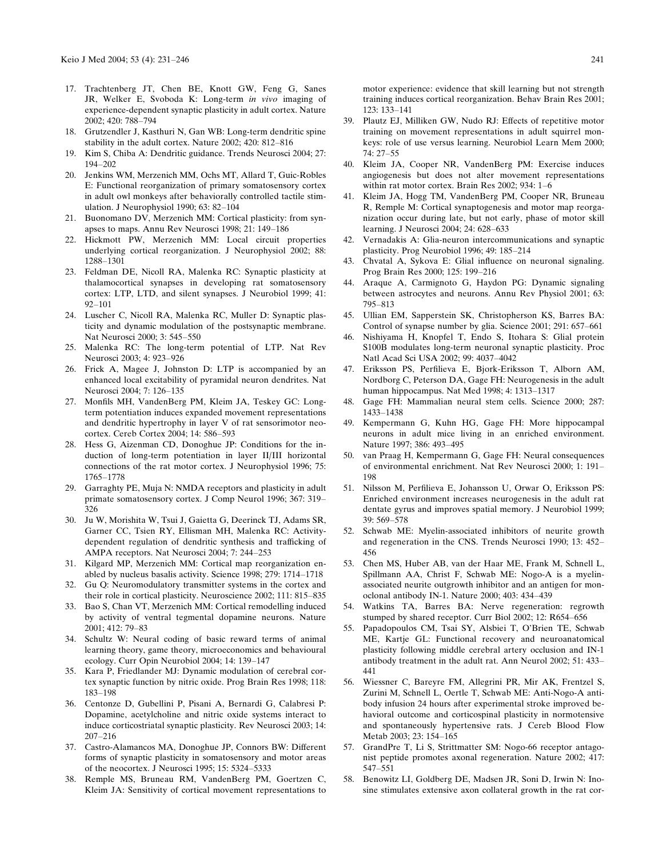- 17. Trachtenberg JT, Chen BE, Knott GW, Feng G, Sanes JR, Welker E, Svoboda K: Long-term in vivo imaging of experience-dependent synaptic plasticity in adult cortex. Nature 2002; 420: 788–794
- 18. Grutzendler J, Kasthuri N, Gan WB: Long-term dendritic spine stability in the adult cortex. Nature 2002; 420: 812–816
- 19. Kim S, Chiba A: Dendritic guidance. Trends Neurosci 2004; 27: 194–202
- 20. Jenkins WM, Merzenich MM, Ochs MT, Allard T, Guic-Robles E: Functional reorganization of primary somatosensory cortex in adult owl monkeys after behaviorally controlled tactile stimulation. J Neurophysiol 1990; 63: 82–104
- 21. Buonomano DV, Merzenich MM: Cortical plasticity: from synapses to maps. Annu Rev Neurosci 1998; 21: 149–186
- 22. Hickmott PW, Merzenich MM: Local circuit properties underlying cortical reorganization. J Neurophysiol 2002; 88: 1288–1301
- 23. Feldman DE, Nicoll RA, Malenka RC: Synaptic plasticity at thalamocortical synapses in developing rat somatosensory cortex: LTP, LTD, and silent synapses. J Neurobiol 1999; 41: 92–101
- 24. Luscher C, Nicoll RA, Malenka RC, Muller D: Synaptic plasticity and dynamic modulation of the postsynaptic membrane. Nat Neurosci 2000; 3: 545–550
- 25. Malenka RC: The long-term potential of LTP. Nat Rev Neurosci 2003; 4: 923–926
- 26. Frick A, Magee J, Johnston D: LTP is accompanied by an enhanced local excitability of pyramidal neuron dendrites. Nat Neurosci 2004; 7: 126–135
- 27. Monfils MH, VandenBerg PM, Kleim JA, Teskey GC: Longterm potentiation induces expanded movement representations and dendritic hypertrophy in layer V of rat sensorimotor neocortex. Cereb Cortex 2004; 14: 586–593
- 28. Hess G, Aizenman CD, Donoghue JP: Conditions for the induction of long-term potentiation in layer II/III horizontal connections of the rat motor cortex. J Neurophysiol 1996; 75: 1765–1778
- 29. Garraghty PE, Muja N: NMDA receptors and plasticity in adult primate somatosensory cortex. J Comp Neurol 1996; 367: 319– 326
- 30. Ju W, Morishita W, Tsui J, Gaietta G, Deerinck TJ, Adams SR, Garner CC, Tsien RY, Ellisman MH, Malenka RC: Activitydependent regulation of dendritic synthesis and trafficking of AMPA receptors. Nat Neurosci 2004; 7: 244–253
- 31. Kilgard MP, Merzenich MM: Cortical map reorganization enabled by nucleus basalis activity. Science 1998; 279: 1714–1718
- 32. Gu Q: Neuromodulatory transmitter systems in the cortex and their role in cortical plasticity. Neuroscience 2002; 111: 815–835
- 33. Bao S, Chan VT, Merzenich MM: Cortical remodelling induced by activity of ventral tegmental dopamine neurons. Nature 2001; 412: 79–83
- 34. Schultz W: Neural coding of basic reward terms of animal learning theory, game theory, microeconomics and behavioural ecology. Curr Opin Neurobiol 2004; 14: 139–147
- 35. Kara P, Friedlander MJ: Dynamic modulation of cerebral cortex synaptic function by nitric oxide. Prog Brain Res 1998; 118: 183–198
- 36. Centonze D, Gubellini P, Pisani A, Bernardi G, Calabresi P: Dopamine, acetylcholine and nitric oxide systems interact to induce corticostriatal synaptic plasticity. Rev Neurosci 2003; 14: 207–216
- 37. Castro-Alamancos MA, Donoghue JP, Connors BW: Different forms of synaptic plasticity in somatosensory and motor areas of the neocortex. J Neurosci 1995; 15: 5324–5333
- 38. Remple MS, Bruneau RM, VandenBerg PM, Goertzen C, Kleim JA: Sensitivity of cortical movement representations to

motor experience: evidence that skill learning but not strength training induces cortical reorganization. Behav Brain Res 2001; 123: 133–141

- 39. Plautz EJ, Milliken GW, Nudo RJ: Effects of repetitive motor training on movement representations in adult squirrel monkeys: role of use versus learning. Neurobiol Learn Mem 2000; 74: 27–55
- 40. Kleim JA, Cooper NR, VandenBerg PM: Exercise induces angiogenesis but does not alter movement representations within rat motor cortex. Brain Res 2002; 934: 1–6
- 41. Kleim JA, Hogg TM, VandenBerg PM, Cooper NR, Bruneau R, Remple M: Cortical synaptogenesis and motor map reorganization occur during late, but not early, phase of motor skill learning. J Neurosci 2004; 24: 628–633
- 42. Vernadakis A: Glia-neuron intercommunications and synaptic plasticity. Prog Neurobiol 1996; 49: 185–214
- 43. Chvatal A, Sykova E: Glial influence on neuronal signaling. Prog Brain Res 2000; 125: 199–216
- 44. Araque A, Carmignoto G, Haydon PG: Dynamic signaling between astrocytes and neurons. Annu Rev Physiol 2001; 63: 795–813
- 45. Ullian EM, Sapperstein SK, Christopherson KS, Barres BA: Control of synapse number by glia. Science 2001; 291: 657–661
- 46. Nishiyama H, Knopfel T, Endo S, Itohara S: Glial protein S100B modulates long-term neuronal synaptic plasticity. Proc Natl Acad Sci USA 2002; 99: 4037–4042
- 47. Eriksson PS, Perfilieva E, Bjork-Eriksson T, Alborn AM, Nordborg C, Peterson DA, Gage FH: Neurogenesis in the adult human hippocampus. Nat Med 1998; 4: 1313–1317
- 48. Gage FH: Mammalian neural stem cells. Science 2000; 287: 1433–1438
- 49. Kempermann G, Kuhn HG, Gage FH: More hippocampal neurons in adult mice living in an enriched environment. Nature 1997; 386: 493–495
- 50. van Praag H, Kempermann G, Gage FH: Neural consequences of environmental enrichment. Nat Rev Neurosci 2000; 1: 191– 198
- 51. Nilsson M, Perfilieva E, Johansson U, Orwar O, Eriksson PS: Enriched environment increases neurogenesis in the adult rat dentate gyrus and improves spatial memory. J Neurobiol 1999; 39: 569–578
- 52. Schwab ME: Myelin-associated inhibitors of neurite growth and regeneration in the CNS. Trends Neurosci 1990; 13: 452– 456
- 53. Chen MS, Huber AB, van der Haar ME, Frank M, Schnell L, Spillmann AA, Christ F, Schwab ME: Nogo-A is a myelinassociated neurite outgrowth inhibitor and an antigen for monoclonal antibody IN-1. Nature 2000; 403: 434–439
- 54. Watkins TA, Barres BA: Nerve regeneration: regrowth stumped by shared receptor. Curr Biol 2002; 12: R654–656
- 55. Papadopoulos CM, Tsai SY, Alsbiei T, O'Brien TE, Schwab ME, Kartje GL: Functional recovery and neuroanatomical plasticity following middle cerebral artery occlusion and IN-1 antibody treatment in the adult rat. Ann Neurol 2002; 51: 433– 441
- 56. Wiessner C, Bareyre FM, Allegrini PR, Mir AK, Frentzel S, Zurini M, Schnell L, Oertle T, Schwab ME: Anti-Nogo-A antibody infusion 24 hours after experimental stroke improved behavioral outcome and corticospinal plasticity in normotensive and spontaneously hypertensive rats. J Cereb Blood Flow Metab 2003; 23: 154–165
- 57. GrandPre T, Li S, Strittmatter SM: Nogo-66 receptor antagonist peptide promotes axonal regeneration. Nature 2002; 417: 547–551
- 58. Benowitz LI, Goldberg DE, Madsen JR, Soni D, Irwin N: Inosine stimulates extensive axon collateral growth in the rat cor-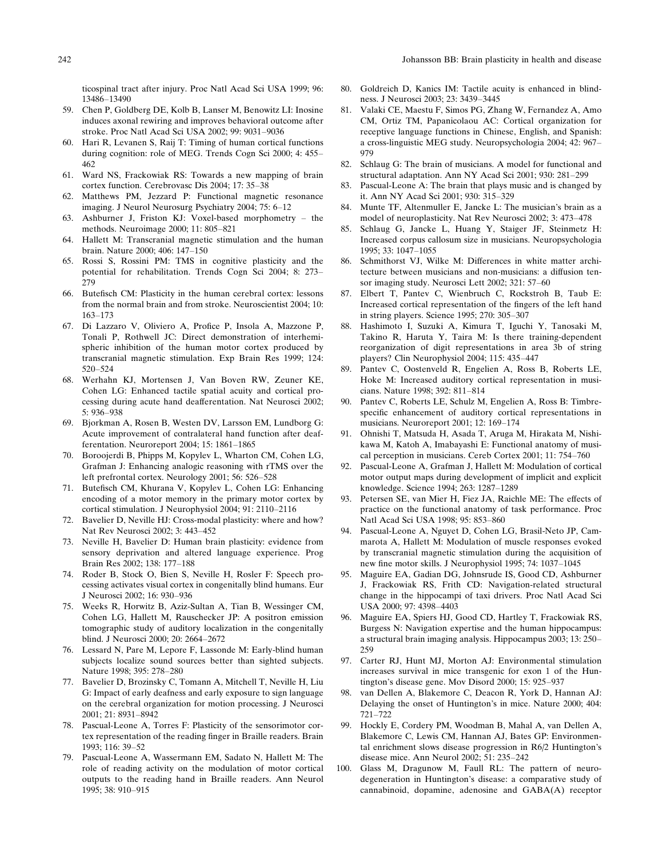ticospinal tract after injury. Proc Natl Acad Sci USA 1999; 96: 13486–13490

- 59. Chen P, Goldberg DE, Kolb B, Lanser M, Benowitz LI: Inosine induces axonal rewiring and improves behavioral outcome after stroke. Proc Natl Acad Sci USA 2002; 99: 9031–9036
- Hari R, Levanen S, Raij T: Timing of human cortical functions during cognition: role of MEG. Trends Cogn Sci 2000; 4: 455– 462
- 61. Ward NS, Frackowiak RS: Towards a new mapping of brain cortex function. Cerebrovasc Dis 2004; 17: 35–38
- 62. Matthews PM, Jezzard P: Functional magnetic resonance imaging. J Neurol Neurosurg Psychiatry 2004; 75: 6–12
- 63. Ashburner J, Friston KJ: Voxel-based morphometry the methods. Neuroimage 2000; 11: 805–821
- 64. Hallett M: Transcranial magnetic stimulation and the human brain. Nature 2000; 406: 147–150
- 65. Rossi S, Rossini PM: TMS in cognitive plasticity and the potential for rehabilitation. Trends Cogn Sci 2004; 8: 273– 279
- 66. Butefisch CM: Plasticity in the human cerebral cortex: lessons from the normal brain and from stroke. Neuroscientist 2004; 10: 163–173
- 67. Di Lazzaro V, Oliviero A, Profice P, Insola A, Mazzone P, Tonali P, Rothwell JC: Direct demonstration of interhemispheric inhibition of the human motor cortex produced by transcranial magnetic stimulation. Exp Brain Res 1999; 124: 520–524
- 68. Werhahn KJ, Mortensen J, Van Boven RW, Zeuner KE, Cohen LG: Enhanced tactile spatial acuity and cortical processing during acute hand deafferentation. Nat Neurosci 2002; 5: 936–938
- 69. Bjorkman A, Rosen B, Westen DV, Larsson EM, Lundborg G: Acute improvement of contralateral hand function after deafferentation. Neuroreport 2004; 15: 1861–1865
- 70. Boroojerdi B, Phipps M, Kopylev L, Wharton CM, Cohen LG, Grafman J: Enhancing analogic reasoning with rTMS over the left prefrontal cortex. Neurology 2001; 56: 526–528
- 71. Butefisch CM, Khurana V, Kopylev L, Cohen LG: Enhancing encoding of a motor memory in the primary motor cortex by cortical stimulation. J Neurophysiol 2004; 91: 2110–2116
- 72. Bavelier D, Neville HJ: Cross-modal plasticity: where and how? Nat Rev Neurosci 2002; 3: 443–452
- 73. Neville H, Bavelier D: Human brain plasticity: evidence from sensory deprivation and altered language experience. Prog Brain Res 2002; 138: 177–188
- 74. Roder B, Stock O, Bien S, Neville H, Rosler F: Speech processing activates visual cortex in congenitally blind humans. Eur J Neurosci 2002; 16: 930–936
- 75. Weeks R, Horwitz B, Aziz-Sultan A, Tian B, Wessinger CM, Cohen LG, Hallett M, Rauschecker JP: A positron emission tomographic study of auditory localization in the congenitally blind. J Neurosci 2000; 20: 2664–2672
- 76. Lessard N, Pare M, Lepore F, Lassonde M: Early-blind human subjects localize sound sources better than sighted subjects. Nature 1998; 395: 278–280
- 77. Bavelier D, Brozinsky C, Tomann A, Mitchell T, Neville H, Liu G: Impact of early deafness and early exposure to sign language on the cerebral organization for motion processing. J Neurosci 2001; 21: 8931–8942
- 78. Pascual-Leone A, Torres F: Plasticity of the sensorimotor cortex representation of the reading finger in Braille readers. Brain 1993; 116: 39–52
- 79. Pascual-Leone A, Wassermann EM, Sadato N, Hallett M: The role of reading activity on the modulation of motor cortical outputs to the reading hand in Braille readers. Ann Neurol 1995; 38: 910–915
- 80. Goldreich D, Kanics IM: Tactile acuity is enhanced in blindness. J Neurosci 2003; 23: 3439–3445
- 81. Valaki CE, Maestu F, Simos PG, Zhang W, Fernandez A, Amo CM, Ortiz TM, Papanicolaou AC: Cortical organization for receptive language functions in Chinese, English, and Spanish: a cross-linguistic MEG study. Neuropsychologia 2004; 42: 967– 979
- 82. Schlaug G: The brain of musicians. A model for functional and structural adaptation. Ann NY Acad Sci 2001; 930: 281–299
- 83. Pascual-Leone A: The brain that plays music and is changed by it. Ann NY Acad Sci 2001; 930: 315–329
- 84. Munte TF, Altenmuller E, Jancke L: The musician's brain as a model of neuroplasticity. Nat Rev Neurosci 2002; 3: 473–478
- 85. Schlaug G, Jancke L, Huang Y, Staiger JF, Steinmetz H: Increased corpus callosum size in musicians. Neuropsychologia 1995; 33: 1047–1055
- 86. Schmithorst VJ, Wilke M: Differences in white matter architecture between musicians and non-musicians: a diffusion tensor imaging study. Neurosci Lett 2002; 321: 57–60
- 87. Elbert T, Pantev C, Wienbruch C, Rockstroh B, Taub E: Increased cortical representation of the fingers of the left hand in string players. Science 1995; 270: 305–307
- 88. Hashimoto I, Suzuki A, Kimura T, Iguchi Y, Tanosaki M, Takino R, Haruta Y, Taira M: Is there training-dependent reorganization of digit representations in area 3b of string players? Clin Neurophysiol 2004; 115: 435–447
- 89. Pantev C, Oostenveld R, Engelien A, Ross B, Roberts LE, Hoke M: Increased auditory cortical representation in musicians. Nature 1998; 392: 811–814
- 90. Pantev C, Roberts LE, Schulz M, Engelien A, Ross B: Timbrespecific enhancement of auditory cortical representations in musicians. Neuroreport 2001; 12: 169–174
- 91. Ohnishi T, Matsuda H, Asada T, Aruga M, Hirakata M, Nishikawa M, Katoh A, Imabayashi E: Functional anatomy of musical perception in musicians. Cereb Cortex 2001; 11: 754–760
- 92. Pascual-Leone A, Grafman J, Hallett M: Modulation of cortical motor output maps during development of implicit and explicit knowledge. Science 1994; 263: 1287–1289
- 93. Petersen SE, van Mier H, Fiez JA, Raichle ME: The effects of practice on the functional anatomy of task performance. Proc Natl Acad Sci USA 1998; 95: 853–860
- 94. Pascual-Leone A, Nguyet D, Cohen LG, Brasil-Neto JP, Cammarota A, Hallett M: Modulation of muscle responses evoked by transcranial magnetic stimulation during the acquisition of new fine motor skills. J Neurophysiol 1995; 74: 1037–1045
- 95. Maguire EA, Gadian DG, Johnsrude IS, Good CD, Ashburner J, Frackowiak RS, Frith CD: Navigation-related structural change in the hippocampi of taxi drivers. Proc Natl Acad Sci USA 2000; 97: 4398–4403
- 96. Maguire EA, Spiers HJ, Good CD, Hartley T, Frackowiak RS, Burgess N: Navigation expertise and the human hippocampus: a structural brain imaging analysis. Hippocampus 2003; 13: 250– 259
- 97. Carter RJ, Hunt MJ, Morton AJ: Environmental stimulation increases survival in mice transgenic for exon 1 of the Huntington's disease gene. Mov Disord 2000; 15: 925–937
- 98. van Dellen A, Blakemore C, Deacon R, York D, Hannan AJ: Delaying the onset of Huntington's in mice. Nature 2000; 404: 721–722
- 99. Hockly E, Cordery PM, Woodman B, Mahal A, van Dellen A, Blakemore C, Lewis CM, Hannan AJ, Bates GP: Environmental enrichment slows disease progression in R6/2 Huntington's disease mice. Ann Neurol 2002; 51: 235–242
- 100. Glass M, Dragunow M, Faull RL: The pattern of neurodegeneration in Huntington's disease: a comparative study of cannabinoid, dopamine, adenosine and GABA(A) receptor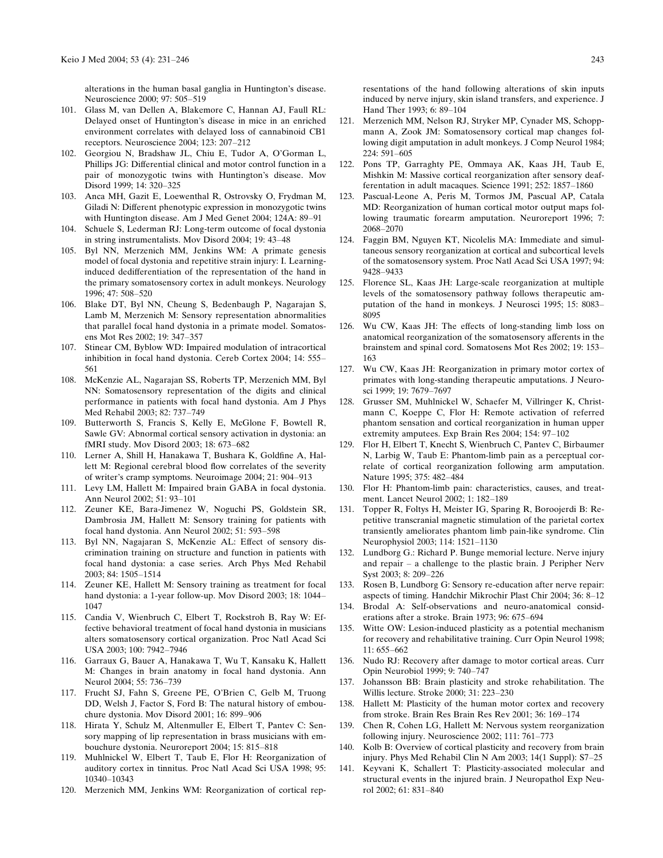alterations in the human basal ganglia in Huntington's disease. Neuroscience 2000; 97: 505–519

- 101. Glass M, van Dellen A, Blakemore C, Hannan AJ, Faull RL: Delayed onset of Huntington's disease in mice in an enriched environment correlates with delayed loss of cannabinoid CB1 receptors. Neuroscience 2004; 123: 207–212
- 102. Georgiou N, Bradshaw JL, Chiu E, Tudor A, O'Gorman L, Phillips JG: Differential clinical and motor control function in a pair of monozygotic twins with Huntington's disease. Mov Disord 1999; 14: 320–325
- 103. Anca MH, Gazit E, Loewenthal R, Ostrovsky O, Frydman M, Giladi N: Different phenotypic expression in monozygotic twins with Huntington disease. Am J Med Genet 2004; 124A: 89–91
- 104. Schuele S, Lederman RJ: Long-term outcome of focal dystonia in string instrumentalists. Mov Disord 2004; 19: 43–48
- 105. Byl NN, Merzenich MM, Jenkins WM: A primate genesis model of focal dystonia and repetitive strain injury: I. Learninginduced dedifferentiation of the representation of the hand in the primary somatosensory cortex in adult monkeys. Neurology 1996; 47: 508–520
- 106. Blake DT, Byl NN, Cheung S, Bedenbaugh P, Nagarajan S, Lamb M, Merzenich M: Sensory representation abnormalities that parallel focal hand dystonia in a primate model. Somatosens Mot Res 2002; 19: 347–357
- 107. Stinear CM, Byblow WD: Impaired modulation of intracortical inhibition in focal hand dystonia. Cereb Cortex 2004; 14: 555– 561
- 108. McKenzie AL, Nagarajan SS, Roberts TP, Merzenich MM, Byl NN: Somatosensory representation of the digits and clinical performance in patients with focal hand dystonia. Am J Phys Med Rehabil 2003; 82: 737–749
- 109. Butterworth S, Francis S, Kelly E, McGlone F, Bowtell R, Sawle GV: Abnormal cortical sensory activation in dystonia: an fMRI study. Mov Disord 2003; 18: 673–682
- 110. Lerner A, Shill H, Hanakawa T, Bushara K, Goldfine A, Hallett M: Regional cerebral blood flow correlates of the severity of writer's cramp symptoms. Neuroimage 2004; 21: 904–913
- 111. Levy LM, Hallett M: Impaired brain GABA in focal dystonia. Ann Neurol 2002; 51: 93–101
- 112. Zeuner KE, Bara-Jimenez W, Noguchi PS, Goldstein SR, Dambrosia JM, Hallett M: Sensory training for patients with focal hand dystonia. Ann Neurol 2002; 51: 593–598
- 113. Byl NN, Nagajaran S, McKenzie AL: Effect of sensory discrimination training on structure and function in patients with focal hand dystonia: a case series. Arch Phys Med Rehabil 2003; 84: 1505–1514
- 114. Zeuner KE, Hallett M: Sensory training as treatment for focal hand dystonia: a 1-year follow-up. Mov Disord 2003; 18: 1044– 1047
- 115. Candia V, Wienbruch C, Elbert T, Rockstroh B, Ray W: Effective behavioral treatment of focal hand dystonia in musicians alters somatosensory cortical organization. Proc Natl Acad Sci USA 2003; 100: 7942–7946
- 116. Garraux G, Bauer A, Hanakawa T, Wu T, Kansaku K, Hallett M: Changes in brain anatomy in focal hand dystonia. Ann Neurol 2004; 55: 736–739
- 117. Frucht SJ, Fahn S, Greene PE, O'Brien C, Gelb M, Truong DD, Welsh J, Factor S, Ford B: The natural history of embouchure dystonia. Mov Disord 2001; 16: 899–906
- 118. Hirata Y, Schulz M, Altenmuller E, Elbert T, Pantev C: Sensory mapping of lip representation in brass musicians with embouchure dystonia. Neuroreport 2004; 15: 815–818
- 119. Muhlnickel W, Elbert T, Taub E, Flor H: Reorganization of auditory cortex in tinnitus. Proc Natl Acad Sci USA 1998; 95: 10340–10343
- 120. Merzenich MM, Jenkins WM: Reorganization of cortical rep-

resentations of the hand following alterations of skin inputs induced by nerve injury, skin island transfers, and experience. J Hand Ther 1993; 6: 89–104

- 121. Merzenich MM, Nelson RJ, Stryker MP, Cynader MS, Schoppmann A, Zook JM: Somatosensory cortical map changes following digit amputation in adult monkeys. J Comp Neurol 1984; 224: 591–605
- 122. Pons TP, Garraghty PE, Ommaya AK, Kaas JH, Taub E, Mishkin M: Massive cortical reorganization after sensory deafferentation in adult macaques. Science 1991; 252: 1857–1860
- 123. Pascual-Leone A, Peris M, Tormos JM, Pascual AP, Catala MD: Reorganization of human cortical motor output maps following traumatic forearm amputation. Neuroreport 1996; 7: 2068–2070
- 124. Faggin BM, Nguyen KT, Nicolelis MA: Immediate and simultaneous sensory reorganization at cortical and subcortical levels of the somatosensory system. Proc Natl Acad Sci USA 1997; 94: 9428–9433
- 125. Florence SL, Kaas JH: Large-scale reorganization at multiple levels of the somatosensory pathway follows therapeutic amputation of the hand in monkeys. J Neurosci 1995; 15: 8083– 8095
- 126. Wu CW, Kaas JH: The effects of long-standing limb loss on anatomical reorganization of the somatosensory afferents in the brainstem and spinal cord. Somatosens Mot Res 2002; 19: 153– 163
- 127. Wu CW, Kaas JH: Reorganization in primary motor cortex of primates with long-standing therapeutic amputations. J Neurosci 1999; 19: 7679–7697
- 128. Grusser SM, Muhlnickel W, Schaefer M, Villringer K, Christmann C, Koeppe C, Flor H: Remote activation of referred phantom sensation and cortical reorganization in human upper extremity amputees. Exp Brain Res 2004; 154: 97–102
- 129. Flor H, Elbert T, Knecht S, Wienbruch C, Pantev C, Birbaumer N, Larbig W, Taub E: Phantom-limb pain as a perceptual correlate of cortical reorganization following arm amputation. Nature 1995; 375: 482–484
- 130. Flor H: Phantom-limb pain: characteristics, causes, and treatment. Lancet Neurol 2002; 1: 182–189
- 131. Topper R, Foltys H, Meister IG, Sparing R, Boroojerdi B: Repetitive transcranial magnetic stimulation of the parietal cortex transiently ameliorates phantom limb pain-like syndrome. Clin Neurophysiol 2003; 114: 1521–1130
- 132. Lundborg G.: Richard P. Bunge memorial lecture. Nerve injury and repair – a challenge to the plastic brain. J Peripher Nerv Syst 2003; 8: 209–226
- 133. Rosen B, Lundborg G: Sensory re-education after nerve repair: aspects of timing. Handchir Mikrochir Plast Chir 2004; 36: 8–12
- 134. Brodal A: Self-observations and neuro-anatomical considerations after a stroke. Brain 1973; 96: 675–694
- 135. Witte OW: Lesion-induced plasticity as a potential mechanism for recovery and rehabilitative training. Curr Opin Neurol 1998; 11: 655–662
- 136. Nudo RJ: Recovery after damage to motor cortical areas. Curr Opin Neurobiol 1999; 9: 740–747
- 137. Johansson BB: Brain plasticity and stroke rehabilitation. The Willis lecture. Stroke 2000; 31: 223–230
- 138. Hallett M: Plasticity of the human motor cortex and recovery from stroke. Brain Res Brain Res Rev 2001; 36: 169–174
- 139. Chen R, Cohen LG, Hallett M: Nervous system reorganization following injury. Neuroscience 2002; 111: 761–773
- 140. Kolb B: Overview of cortical plasticity and recovery from brain injury. Phys Med Rehabil Clin N Am 2003; 14(1 Suppl): S7–25
- 141. Keyvani K, Schallert T: Plasticity-associated molecular and structural events in the injured brain. J Neuropathol Exp Neurol 2002; 61: 831–840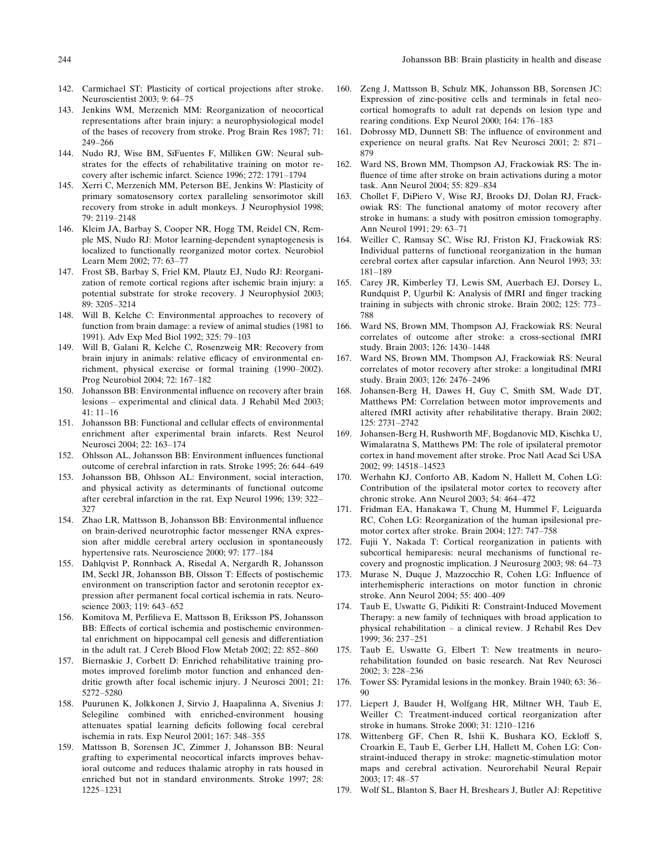- 142. Carmichael ST: Plasticity of cortical projections after stroke. Neuroscientist 2003; 9: 64–75
- 143. Jenkins WM, Merzenich MM: Reorganization of neocortical representations after brain injury: a neurophysiological model of the bases of recovery from stroke. Prog Brain Res 1987; 71: 249–266
- 144. Nudo RJ, Wise BM, SiFuentes F, Milliken GW: Neural substrates for the effects of rehabilitative training on motor recovery after ischemic infarct. Science 1996; 272: 1791–1794
- 145. Xerri C, Merzenich MM, Peterson BE, Jenkins W: Plasticity of primary somatosensory cortex paralleling sensorimotor skill recovery from stroke in adult monkeys. J Neurophysiol 1998; 79: 2119–2148
- 146. Kleim JA, Barbay S, Cooper NR, Hogg TM, Reidel CN, Remple MS, Nudo RJ: Motor learning-dependent synaptogenesis is localized to functionally reorganized motor cortex. Neurobiol Learn Mem 2002; 77: 63–77
- 147. Frost SB, Barbay S, Friel KM, Plautz EJ, Nudo RJ: Reorganization of remote cortical regions after ischemic brain injury: a potential substrate for stroke recovery. J Neurophysiol 2003; 89: 3205–3214
- 148. Will B, Kelche C: Environmental approaches to recovery of function from brain damage: a review of animal studies (1981 to 1991). Adv Exp Med Biol 1992; 325: 79–103
- 149. Will B, Galani R, Kelche C, Rosenzweig MR: Recovery from brain injury in animals: relative efficacy of environmental enrichment, physical exercise or formal training (1990–2002). Prog Neurobiol 2004; 72: 167–182
- 150. Johansson BB: Environmental influence on recovery after brain lesions – experimental and clinical data. J Rehabil Med 2003; 41: 11–16
- 151. Johansson BB: Functional and cellular effects of environmental enrichment after experimental brain infarcts. Rest Neurol Neurosci 2004; 22: 163–174
- 152. Ohlsson AL, Johansson BB: Environment influences functional outcome of cerebral infarction in rats. Stroke 1995; 26: 644–649
- 153. Johansson BB, Ohlsson AL: Environment, social interaction, and physical activity as determinants of functional outcome after cerebral infarction in the rat. Exp Neurol 1996; 139: 322– 327
- 154. Zhao LR, Mattsson B, Johansson BB: Environmental influence on brain-derived neurotrophic factor messenger RNA expression after middle cerebral artery occlusion in spontaneously hypertensive rats. Neuroscience 2000; 97: 177–184
- 155. Dahlqvist P, Ronnback A, Risedal A, Nergardh R, Johansson IM, Seckl JR, Johansson BB, Olsson T: Effects of postischemic environment on transcription factor and serotonin receptor expression after permanent focal cortical ischemia in rats. Neuroscience 2003; 119: 643–652
- 156. Komitova M, Perfilieva E, Mattsson B, Eriksson PS, Johansson BB: Effects of cortical ischemia and postischemic environmental enrichment on hippocampal cell genesis and differentiation in the adult rat. J Cereb Blood Flow Metab 2002; 22: 852–860
- 157. Biernaskie J, Corbett D: Enriched rehabilitative training promotes improved forelimb motor function and enhanced dendritic growth after focal ischemic injury. J Neurosci 2001; 21: 5272–5280
- 158. Puurunen K, Jolkkonen J, Sirvio J, Haapalinna A, Sivenius J: Selegiline combined with enriched-environment housing attenuates spatial learning deficits following focal cerebral ischemia in rats. Exp Neurol 2001; 167: 348–355
- 159. Mattsson B, Sorensen JC, Zimmer J, Johansson BB: Neural grafting to experimental neocortical infarcts improves behavioral outcome and reduces thalamic atrophy in rats housed in enriched but not in standard environments. Stroke 1997; 28: 1225–1231
- 160. Zeng J, Mattsson B, Schulz MK, Johansson BB, Sorensen JC: Expression of zinc-positive cells and terminals in fetal neocortical homografts to adult rat depends on lesion type and rearing conditions. Exp Neurol 2000; 164: 176–183
- 161. Dobrossy MD, Dunnett SB: The influence of environment and experience on neural grafts. Nat Rev Neurosci 2001; 2: 871– 879
- 162. Ward NS, Brown MM, Thompson AJ, Frackowiak RS: The influence of time after stroke on brain activations during a motor task. Ann Neurol 2004; 55: 829–834
- 163. Chollet F, DiPiero V, Wise RJ, Brooks DJ, Dolan RJ, Frackowiak RS: The functional anatomy of motor recovery after stroke in humans: a study with positron emission tomography. Ann Neurol 1991; 29: 63–71
- 164. Weiller C, Ramsay SC, Wise RJ, Friston KJ, Frackowiak RS: Individual patterns of functional reorganization in the human cerebral cortex after capsular infarction. Ann Neurol 1993; 33: 181–189
- 165. Carey JR, Kimberley TJ, Lewis SM, Auerbach EJ, Dorsey L, Rundquist P, Ugurbil K: Analysis of fMRI and finger tracking training in subjects with chronic stroke. Brain 2002; 125: 773– 788
- 166. Ward NS, Brown MM, Thompson AJ, Frackowiak RS: Neural correlates of outcome after stroke: a cross-sectional fMRI study. Brain 2003; 126: 1430–1448
- 167. Ward NS, Brown MM, Thompson AJ, Frackowiak RS: Neural correlates of motor recovery after stroke: a longitudinal fMRI study. Brain 2003; 126: 2476–2496
- 168. Johansen-Berg H, Dawes H, Guy C, Smith SM, Wade DT, Matthews PM: Correlation between motor improvements and altered fMRI activity after rehabilitative therapy. Brain 2002; 125: 2731–2742
- 169. Johansen-Berg H, Rushworth MF, Bogdanovic MD, Kischka U, Wimalaratna S, Matthews PM: The role of ipsilateral premotor cortex in hand movement after stroke. Proc Natl Acad Sci USA 2002; 99: 14518–14523
- Werhahn KJ, Conforto AB, Kadom N, Hallett M, Cohen LG: Contribution of the ipsilateral motor cortex to recovery after chronic stroke. Ann Neurol 2003; 54: 464–472
- 171. Fridman EA, Hanakawa T, Chung M, Hummel F, Leiguarda RC, Cohen LG: Reorganization of the human ipsilesional premotor cortex after stroke. Brain 2004; 127: 747–758
- 172. Fujii Y, Nakada T: Cortical reorganization in patients with subcortical hemiparesis: neural mechanisms of functional recovery and prognostic implication. J Neurosurg 2003; 98: 64–73
- 173. Murase N, Duque J, Mazzocchio R, Cohen LG: Influence of interhemispheric interactions on motor function in chronic stroke. Ann Neurol 2004; 55: 400–409
- 174. Taub E, Uswatte G, Pidikiti R: Constraint-Induced Movement Therapy: a new family of techniques with broad application to physical rehabilitation – a clinical review. J Rehabil Res Dev 1999; 36: 237–251
- 175. Taub E, Uswatte G, Elbert T: New treatments in neurorehabilitation founded on basic research. Nat Rev Neurosci 2002; 3: 228–236
- 176. Tower SS: Pyramidal lesions in the monkey. Brain 1940; 63: 36– 90
- 177. Liepert J, Bauder H, Wolfgang HR, Miltner WH, Taub E, Weiller C: Treatment-induced cortical reorganization after stroke in humans. Stroke 2000; 31: 1210–1216
- 178. Wittenberg GF, Chen R, Ishii K, Bushara KO, Eckloff S, Croarkin E, Taub E, Gerber LH, Hallett M, Cohen LG: Constraint-induced therapy in stroke: magnetic-stimulation motor maps and cerebral activation. Neurorehabil Neural Repair 2003; 17: 48–57
- 179. Wolf SL, Blanton S, Baer H, Breshears J, Butler AJ: Repetitive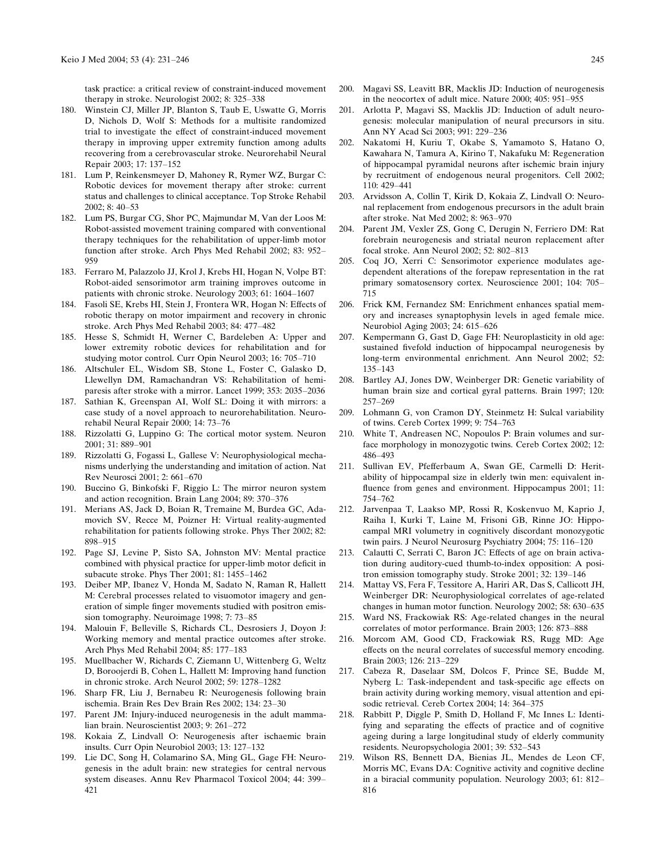task practice: a critical review of constraint-induced movement therapy in stroke. Neurologist 2002; 8: 325–338

- 180. Winstein CJ, Miller JP, Blanton S, Taub E, Uswatte G, Morris D, Nichols D, Wolf S: Methods for a multisite randomized trial to investigate the effect of constraint-induced movement therapy in improving upper extremity function among adults recovering from a cerebrovascular stroke. Neurorehabil Neural Repair 2003; 17: 137–152
- 181. Lum P, Reinkensmeyer D, Mahoney R, Rymer WZ, Burgar C: Robotic devices for movement therapy after stroke: current status and challenges to clinical acceptance. Top Stroke Rehabil 2002; 8: 40–53
- 182. Lum PS, Burgar CG, Shor PC, Majmundar M, Van der Loos M: Robot-assisted movement training compared with conventional therapy techniques for the rehabilitation of upper-limb motor function after stroke. Arch Phys Med Rehabil 2002; 83: 952– 959
- 183. Ferraro M, Palazzolo JJ, Krol J, Krebs HI, Hogan N, Volpe BT: Robot-aided sensorimotor arm training improves outcome in patients with chronic stroke. Neurology 2003; 61: 1604–1607
- 184. Fasoli SE, Krebs HI, Stein J, Frontera WR, Hogan N: Effects of robotic therapy on motor impairment and recovery in chronic stroke. Arch Phys Med Rehabil 2003; 84: 477–482
- 185. Hesse S, Schmidt H, Werner C, Bardeleben A: Upper and lower extremity robotic devices for rehabilitation and for studying motor control. Curr Opin Neurol 2003; 16: 705–710
- 186. Altschuler EL, Wisdom SB, Stone L, Foster C, Galasko D, Llewellyn DM, Ramachandran VS: Rehabilitation of hemiparesis after stroke with a mirror. Lancet 1999; 353: 2035–2036
- 187. Sathian K, Greenspan AI, Wolf SL: Doing it with mirrors: a case study of a novel approach to neurorehabilitation. Neurorehabil Neural Repair 2000; 14: 73–76
- 188. Rizzolatti G, Luppino G: The cortical motor system. Neuron 2001; 31: 889–901
- 189. Rizzolatti G, Fogassi L, Gallese V: Neurophysiological mechanisms underlying the understanding and imitation of action. Nat Rev Neurosci 2001; 2: 661–670
- 190. Buccino G, Binkofski F, Riggio L: The mirror neuron system and action recognition. Brain Lang 2004; 89: 370–376
- 191. Merians AS, Jack D, Boian R, Tremaine M, Burdea GC, Adamovich SV, Recce M, Poizner H: Virtual reality-augmented rehabilitation for patients following stroke. Phys Ther 2002; 82: 898–915
- 192. Page SJ, Levine P, Sisto SA, Johnston MV: Mental practice combined with physical practice for upper-limb motor deficit in subacute stroke. Phys Ther 2001; 81: 1455–1462
- 193. Deiber MP, Ibanez V, Honda M, Sadato N, Raman R, Hallett M: Cerebral processes related to visuomotor imagery and generation of simple finger movements studied with positron emission tomography. Neuroimage 1998; 7: 73–85
- 194. Malouin F, Belleville S, Richards CL, Desrosiers J, Doyon J: Working memory and mental practice outcomes after stroke. Arch Phys Med Rehabil 2004; 85: 177–183
- 195. Muellbacher W, Richards C, Ziemann U, Wittenberg G, Weltz D, Boroojerdi B, Cohen L, Hallett M: Improving hand function in chronic stroke. Arch Neurol 2002; 59: 1278–1282
- 196. Sharp FR, Liu J, Bernabeu R: Neurogenesis following brain ischemia. Brain Res Dev Brain Res 2002; 134: 23–30
- 197. Parent JM: Injury-induced neurogenesis in the adult mammalian brain. Neuroscientist 2003; 9: 261–272
- 198. Kokaia Z, Lindvall O: Neurogenesis after ischaemic brain insults. Curr Opin Neurobiol 2003; 13: 127–132
- 199. Lie DC, Song H, Colamarino SA, Ming GL, Gage FH: Neurogenesis in the adult brain: new strategies for central nervous system diseases. Annu Rev Pharmacol Toxicol 2004; 44: 399– 421
- 200. Magavi SS, Leavitt BR, Macklis JD: Induction of neurogenesis in the neocortex of adult mice. Nature 2000; 405: 951–955
- 201. Arlotta P, Magavi SS, Macklis JD: Induction of adult neurogenesis: molecular manipulation of neural precursors in situ. Ann NY Acad Sci 2003; 991: 229–236
- 202. Nakatomi H, Kuriu T, Okabe S, Yamamoto S, Hatano O, Kawahara N, Tamura A, Kirino T, Nakafuku M: Regeneration of hippocampal pyramidal neurons after ischemic brain injury by recruitment of endogenous neural progenitors. Cell 2002; 110: 429–441
- 203. Arvidsson A, Collin T, Kirik D, Kokaia Z, Lindvall O: Neuronal replacement from endogenous precursors in the adult brain after stroke. Nat Med 2002; 8: 963–970
- 204. Parent JM, Vexler ZS, Gong C, Derugin N, Ferriero DM: Rat forebrain neurogenesis and striatal neuron replacement after focal stroke. Ann Neurol 2002; 52: 802–813
- 205. Coq JO, Xerri C: Sensorimotor experience modulates agedependent alterations of the forepaw representation in the rat primary somatosensory cortex. Neuroscience 2001; 104: 705– 715
- 206. Frick KM, Fernandez SM: Enrichment enhances spatial memory and increases synaptophysin levels in aged female mice. Neurobiol Aging 2003; 24: 615–626
- 207. Kempermann G, Gast D, Gage FH: Neuroplasticity in old age: sustained fivefold induction of hippocampal neurogenesis by long-term environmental enrichment. Ann Neurol 2002; 52: 135–143
- 208. Bartley AJ, Jones DW, Weinberger DR: Genetic variability of human brain size and cortical gyral patterns. Brain 1997; 120: 257–269
- 209. Lohmann G, von Cramon DY, Steinmetz H: Sulcal variability of twins. Cereb Cortex 1999; 9: 754–763
- 210. White T, Andreasen NC, Nopoulos P: Brain volumes and surface morphology in monozygotic twins. Cereb Cortex 2002; 12: 486–493
- 211. Sullivan EV, Pfefferbaum A, Swan GE, Carmelli D: Heritability of hippocampal size in elderly twin men: equivalent influence from genes and environment. Hippocampus 2001; 11: 754–762
- 212. Jarvenpaa T, Laakso MP, Rossi R, Koskenvuo M, Kaprio J, Raiha I, Kurki T, Laine M, Frisoni GB, Rinne JO: Hippocampal MRI volumetry in cognitively discordant monozygotic twin pairs. J Neurol Neurosurg Psychiatry 2004; 75: 116–120
- 213. Calautti C, Serrati C, Baron JC: Effects of age on brain activation during auditory-cued thumb-to-index opposition: A positron emission tomography study. Stroke 2001; 32: 139–146
- 214. Mattay VS, Fera F, Tessitore A, Hariri AR, Das S, Callicott JH, Weinberger DR: Neurophysiological correlates of age-related changes in human motor function. Neurology 2002; 58: 630–635
- 215. Ward NS, Frackowiak RS: Age-related changes in the neural correlates of motor performance. Brain 2003; 126: 873–888
- 216. Morcom AM, Good CD, Frackowiak RS, Rugg MD: Age effects on the neural correlates of successful memory encoding. Brain 2003; 126: 213–229
- 217. Cabeza R, Daselaar SM, Dolcos F, Prince SE, Budde M, Nyberg L: Task-independent and task-specific age effects on brain activity during working memory, visual attention and episodic retrieval. Cereb Cortex 2004; 14: 364–375
- 218. Rabbitt P, Diggle P, Smith D, Holland F, Mc Innes L: Identifying and separating the effects of practice and of cognitive ageing during a large longitudinal study of elderly community residents. Neuropsychologia 2001; 39: 532–543
- 219. Wilson RS, Bennett DA, Bienias JL, Mendes de Leon CF, Morris MC, Evans DA: Cognitive activity and cognitive decline in a biracial community population. Neurology 2003; 61: 812– 816